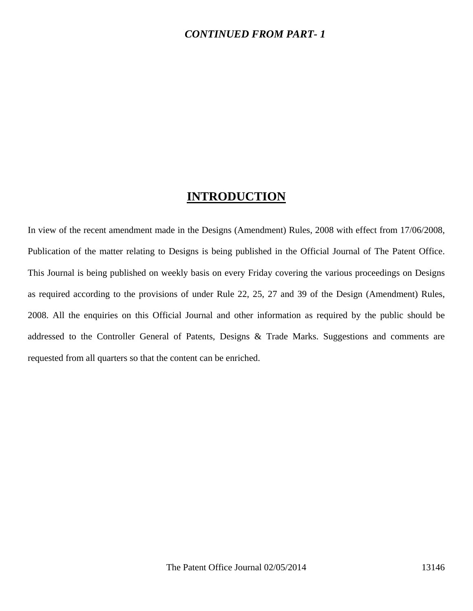#### *CONTINUED FROM PART- 1*

#### **INTRODUCTION**

In view of the recent amendment made in the Designs (Amendment) Rules, 2008 with effect from 17/06/2008, Publication of the matter relating to Designs is being published in the Official Journal of The Patent Office. This Journal is being published on weekly basis on every Friday covering the various proceedings on Designs as required according to the provisions of under Rule 22, 25, 27 and 39 of the Design (Amendment) Rules, 2008. All the enquiries on this Official Journal and other information as required by the public should be addressed to the Controller General of Patents, Designs & Trade Marks. Suggestions and comments are requested from all quarters so that the content can be enriched.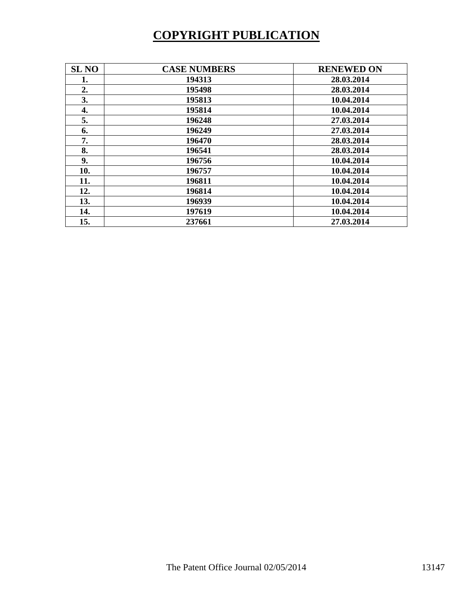# **COPYRIGHT PUBLICATION**

| <b>SL NO</b> | <b>CASE NUMBERS</b> | <b>RENEWED ON</b> |
|--------------|---------------------|-------------------|
| 1.           | 194313              | 28.03.2014        |
| 2.           | 195498              | 28.03.2014        |
| 3.           | 195813              | 10.04.2014        |
| 4.           | 195814              | 10.04.2014        |
| 5.           | 196248              | 27.03.2014        |
| 6.           | 196249              | 27.03.2014        |
| 7.           | 196470              | 28.03.2014        |
| 8.           | 196541              | 28.03.2014        |
| 9.           | 196756              | 10.04.2014        |
| 10.          | 196757              | 10.04.2014        |
| 11.          | 196811              | 10.04.2014        |
| 12.          | 196814              | 10.04.2014        |
| 13.          | 196939              | 10.04.2014        |
| 14.          | 197619              | 10.04.2014        |
| 15.          | 237661              | 27.03.2014        |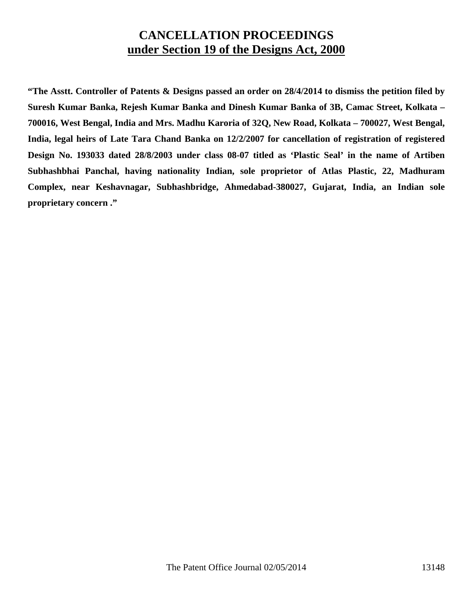### **CANCELLATION PROCEEDINGS under Section 19 of the Designs Act, 2000**

**"The Asstt. Controller of Patents & Designs passed an order on 28/4/2014 to dismiss the petition filed by Suresh Kumar Banka, Rejesh Kumar Banka and Dinesh Kumar Banka of 3B, Camac Street, Kolkata – 700016, West Bengal, India and Mrs. Madhu Karoria of 32Q, New Road, Kolkata – 700027, West Bengal, India, legal heirs of Late Tara Chand Banka on 12/2/2007 for cancellation of registration of registered Design No. 193033 dated 28/8/2003 under class 08-07 titled as 'Plastic Seal' in the name of Artiben Subhashbhai Panchal, having nationality Indian, sole proprietor of Atlas Plastic, 22, Madhuram Complex, near Keshavnagar, Subhashbridge, Ahmedabad-380027, Gujarat, India, an Indian sole proprietary concern ."**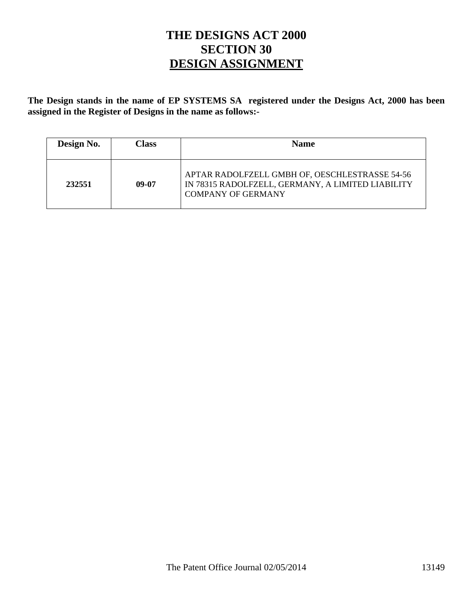## **THE DESIGNS ACT 2000 SECTION 30 DESIGN ASSIGNMENT**

**The Design stands in the name of EP SYSTEMS SA registered under the Designs Act, 2000 has been assigned in the Register of Designs in the name as follows:-** 

| Design No. | Class | <b>Name</b>                                                                                                                      |
|------------|-------|----------------------------------------------------------------------------------------------------------------------------------|
| 232551     | 09-07 | APTAR RADOLFZELL GMBH OF, OESCHLESTRASSE 54-56<br>IN 78315 RADOLFZELL, GERMANY, A LIMITED LIABILITY<br><b>COMPANY OF GERMANY</b> |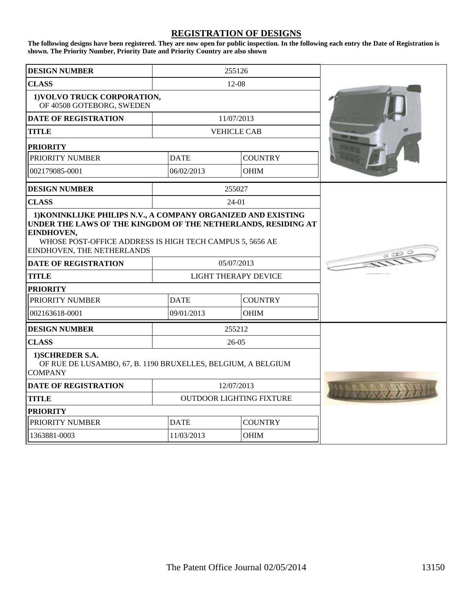#### **REGISTRATION OF DESIGNS**

**The following designs have been registered. They are now open for public inspection. In the following each entry the Date of Registration is shown. The Priority Number, Priority Date and Priority Country are also shown**

| <b>DESIGN NUMBER</b>                                                                                                                                                                                 | 255126                      |                                 |                |  |
|------------------------------------------------------------------------------------------------------------------------------------------------------------------------------------------------------|-----------------------------|---------------------------------|----------------|--|
| <b>CLASS</b>                                                                                                                                                                                         | $12-08$                     |                                 |                |  |
| 1) VOLVO TRUCK CORPORATION,<br>OF 40508 GOTEBORG, SWEDEN                                                                                                                                             |                             |                                 |                |  |
| <b>DATE OF REGISTRATION</b>                                                                                                                                                                          |                             | 11/07/2013                      |                |  |
| <b>TITLE</b>                                                                                                                                                                                         |                             | <b>VEHICLE CAB</b>              |                |  |
| <b>PRIORITY</b>                                                                                                                                                                                      |                             |                                 |                |  |
| PRIORITY NUMBER                                                                                                                                                                                      |                             | <b>DATE</b>                     | <b>COUNTRY</b> |  |
| 002179085-0001                                                                                                                                                                                       |                             | 06/02/2013                      | <b>OHIM</b>    |  |
| <b>DESIGN NUMBER</b>                                                                                                                                                                                 |                             | 255027                          |                |  |
| <b>CLASS</b>                                                                                                                                                                                         |                             | $24-01$                         |                |  |
| UNDER THE LAWS OF THE KINGDOM OF THE NETHERLANDS, RESIDING AT<br>EINDHOVEN,<br>WHOSE POST-OFFICE ADDRESS IS HIGH TECH CAMPUS 5, 5656 AE<br>EINDHOVEN, THE NETHERLANDS<br><b>DATE OF REGISTRATION</b> |                             | 05/07/2013                      |                |  |
| <b>TITLE</b>                                                                                                                                                                                         |                             |                                 |                |  |
| <b>PRIORITY</b>                                                                                                                                                                                      | <b>LIGHT THERAPY DEVICE</b> |                                 |                |  |
| PRIORITY NUMBER                                                                                                                                                                                      |                             | <b>DATE</b>                     | <b>COUNTRY</b> |  |
| 002163618-0001                                                                                                                                                                                       |                             | 09/01/2013                      | <b>OHIM</b>    |  |
| <b>DESIGN NUMBER</b>                                                                                                                                                                                 |                             | 255212                          |                |  |
| <b>CLASS</b>                                                                                                                                                                                         |                             | $26-05$                         |                |  |
| 1) SCHREDER S.A.<br>OF RUE DE LUSAMBO, 67, B. 1190 BRUXELLES, BELGIUM, A BELGIUM<br><b>COMPANY</b>                                                                                                   |                             |                                 |                |  |
| <b>DATE OF REGISTRATION</b>                                                                                                                                                                          | 12/07/2013                  |                                 |                |  |
| <b>TITLE</b>                                                                                                                                                                                         |                             | <b>OUTDOOR LIGHTING FIXTURE</b> |                |  |
| <b>PRIORITY</b>                                                                                                                                                                                      |                             |                                 |                |  |
| PRIORITY NUMBER                                                                                                                                                                                      |                             | <b>DATE</b>                     | <b>COUNTRY</b> |  |
| 1363881-0003                                                                                                                                                                                         |                             | 11/03/2013                      | <b>OHIM</b>    |  |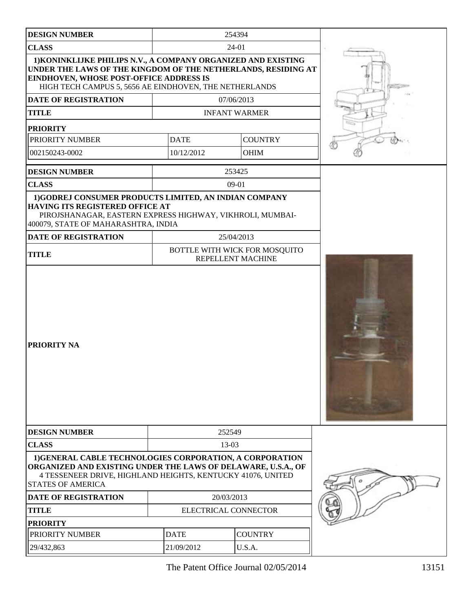| <b>DESIGN NUMBER</b>                                                                                                                                                                                                                | 254394                        |             |                                                    |  |  |
|-------------------------------------------------------------------------------------------------------------------------------------------------------------------------------------------------------------------------------------|-------------------------------|-------------|----------------------------------------------------|--|--|
| <b>CLASS</b><br>24-01                                                                                                                                                                                                               |                               |             |                                                    |  |  |
| 1) KONINKLIJKE PHILIPS N.V., A COMPANY ORGANIZED AND EXISTING<br>UNDER THE LAWS OF THE KINGDOM OF THE NETHERLANDS, RESIDING AT<br>EINDHOVEN, WHOSE POST-OFFICE ADDRESS IS<br>HIGH TECH CAMPUS 5, 5656 AE EINDHOVEN, THE NETHERLANDS |                               |             |                                                    |  |  |
| <b>DATE OF REGISTRATION</b>                                                                                                                                                                                                         |                               |             | 07/06/2013                                         |  |  |
| <b>TITLE</b>                                                                                                                                                                                                                        |                               |             | <b>INFANT WARMER</b>                               |  |  |
| <b>PRIORITY</b>                                                                                                                                                                                                                     |                               |             |                                                    |  |  |
| PRIORITY NUMBER                                                                                                                                                                                                                     |                               | <b>DATE</b> | <b>COUNTRY</b>                                     |  |  |
| 002150243-0002                                                                                                                                                                                                                      |                               | 10/12/2012  | <b>OHIM</b>                                        |  |  |
| <b>DESIGN NUMBER</b>                                                                                                                                                                                                                |                               |             | 253425                                             |  |  |
| <b>CLASS</b>                                                                                                                                                                                                                        |                               |             | $09-01$                                            |  |  |
| HAVING ITS REGISTERED OFFICE AT<br>PIROJSHANAGAR, EASTERN EXPRESS HIGHWAY, VIKHROLI, MUMBAI-<br>400079, STATE OF MAHARASHTRA, INDIA<br><b>DATE OF REGISTRATION</b>                                                                  |                               |             | 25/04/2013                                         |  |  |
| <b>TITLE</b>                                                                                                                                                                                                                        |                               |             | BOTTLE WITH WICK FOR MOSQUITO<br>REPELLENT MACHINE |  |  |
| <b>PRIORITY NA</b>                                                                                                                                                                                                                  |                               |             |                                                    |  |  |
| <b>DESIGN NUMBER</b>                                                                                                                                                                                                                |                               |             | 252549                                             |  |  |
| <b>CLASS</b><br>13-03                                                                                                                                                                                                               |                               |             |                                                    |  |  |
| 1) GENERAL CABLE TECHNOLOGIES CORPORATION, A CORPORATION<br>ORGANIZED AND EXISTING UNDER THE LAWS OF DELAWARE, U.S.A., OF<br>4 TESSENEER DRIVE, HIGHLAND HEIGHTS, KENTUCKY 41076, UNITED<br><b>STATES OF AMERICA</b>                |                               |             |                                                    |  |  |
| <b>DATE OF REGISTRATION</b>                                                                                                                                                                                                         | 20/03/2013                    |             |                                                    |  |  |
| <b>TITLE</b>                                                                                                                                                                                                                        | ELECTRICAL CONNECTOR          |             |                                                    |  |  |
| <b>PRIORITY</b>                                                                                                                                                                                                                     |                               |             |                                                    |  |  |
| PRIORITY NUMBER                                                                                                                                                                                                                     | <b>DATE</b><br><b>COUNTRY</b> |             |                                                    |  |  |
| 29/432,863                                                                                                                                                                                                                          | 21/09/2012<br>U.S.A.          |             |                                                    |  |  |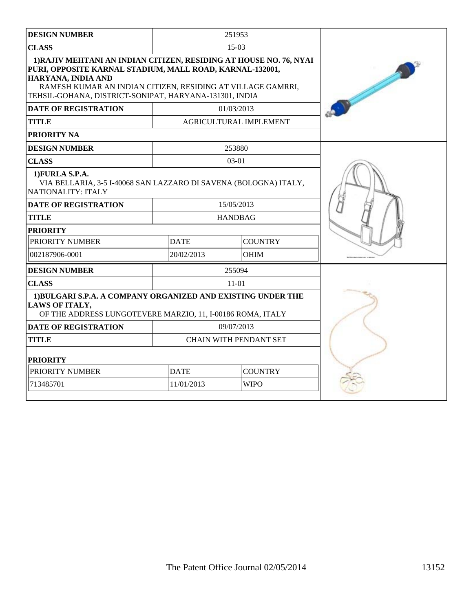| <b>DESIGN NUMBER</b>                                                                                                                                                                                                                                                          |             | 251953                 |  |
|-------------------------------------------------------------------------------------------------------------------------------------------------------------------------------------------------------------------------------------------------------------------------------|-------------|------------------------|--|
| <b>CLASS</b>                                                                                                                                                                                                                                                                  |             |                        |  |
| 1) RAJIV MEHTANI AN INDIAN CITIZEN, RESIDING AT HOUSE NO. 76, NYAI<br>PURI, OPPOSITE KARNAL STADIUM, MALL ROAD, KARNAL-132001,<br>HARYANA, INDIA AND<br>RAMESH KUMAR AN INDIAN CITIZEN, RESIDING AT VILLAGE GAMRRI,<br>TEHSIL-GOHANA, DISTRICT-SONIPAT, HARYANA-131301, INDIA |             |                        |  |
| <b>DATE OF REGISTRATION</b>                                                                                                                                                                                                                                                   |             | 01/03/2013             |  |
| <b>TITLE</b>                                                                                                                                                                                                                                                                  |             | AGRICULTURAL IMPLEMENT |  |
| PRIORITY NA                                                                                                                                                                                                                                                                   |             |                        |  |
| <b>DESIGN NUMBER</b>                                                                                                                                                                                                                                                          |             | 253880                 |  |
| <b>CLASS</b>                                                                                                                                                                                                                                                                  |             | $03-01$                |  |
| 1) FURLA S.P.A.<br>VIA BELLARIA, 3-5 I-40068 SAN LAZZARO DI SAVENA (BOLOGNA) ITALY,<br>NATIONALITY: ITALY                                                                                                                                                                     |             |                        |  |
| <b>DATE OF REGISTRATION</b>                                                                                                                                                                                                                                                   |             | 15/05/2013             |  |
| <b>TITLE</b>                                                                                                                                                                                                                                                                  |             | <b>HANDBAG</b>         |  |
| <b>PRIORITY</b>                                                                                                                                                                                                                                                               |             |                        |  |
| PRIORITY NUMBER                                                                                                                                                                                                                                                               | <b>DATE</b> | <b>COUNTRY</b>         |  |
| 002187906-0001                                                                                                                                                                                                                                                                | 20/02/2013  | <b>OHIM</b>            |  |
| <b>DESIGN NUMBER</b>                                                                                                                                                                                                                                                          |             | 255094                 |  |
| <b>CLASS</b>                                                                                                                                                                                                                                                                  |             | $11-01$                |  |
| 1) BULGARI S.P.A. A COMPANY ORGANIZED AND EXISTING UNDER THE<br>LAWS OF ITALY,<br>OF THE ADDRESS LUNGOTEVERE MARZIO, 11, I-00186 ROMA, ITALY                                                                                                                                  |             |                        |  |
| <b>DATE OF REGISTRATION</b>                                                                                                                                                                                                                                                   |             | 09/07/2013             |  |
| <b>TITLE</b>                                                                                                                                                                                                                                                                  |             | CHAIN WITH PENDANT SET |  |
| <b>PRIORITY</b>                                                                                                                                                                                                                                                               |             |                        |  |
| PRIORITY NUMBER                                                                                                                                                                                                                                                               | <b>DATE</b> | <b>COUNTRY</b>         |  |
| 713485701                                                                                                                                                                                                                                                                     | 11/01/2013  | <b>WIPO</b>            |  |
|                                                                                                                                                                                                                                                                               |             |                        |  |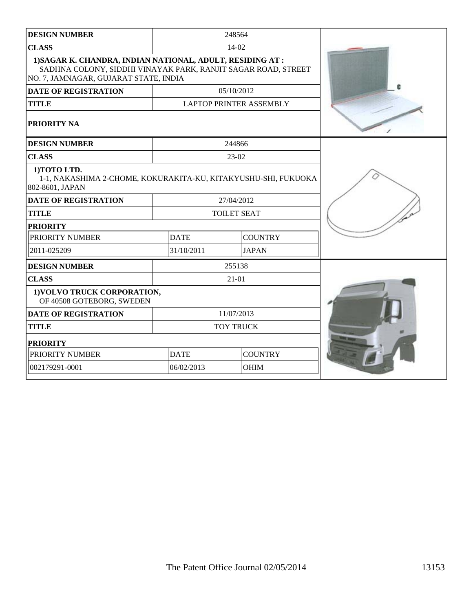| <b>DESIGN NUMBER</b>                                                                                                                                                 |             | 248564                         |  |
|----------------------------------------------------------------------------------------------------------------------------------------------------------------------|-------------|--------------------------------|--|
| <b>CLASS</b>                                                                                                                                                         |             | $14-02$                        |  |
| 1) SAGAR K. CHANDRA, INDIAN NATIONAL, ADULT, RESIDING AT :<br>SADHNA COLONY, SIDDHI VINAYAK PARK, RANJIT SAGAR ROAD, STREET<br>NO. 7, JAMNAGAR, GUJARAT STATE, INDIA |             |                                |  |
| <b>DATE OF REGISTRATION</b>                                                                                                                                          |             | 05/10/2012                     |  |
| <b>TITLE</b>                                                                                                                                                         |             | <b>LAPTOP PRINTER ASSEMBLY</b> |  |
| <b>PRIORITY NA</b>                                                                                                                                                   |             |                                |  |
| <b>DESIGN NUMBER</b>                                                                                                                                                 |             | 244866                         |  |
| <b>CLASS</b>                                                                                                                                                         |             | 23-02                          |  |
| 1) TOTO LTD.<br>1-1, NAKASHIMA 2-CHOME, KOKURAKITA-KU, KITAKYUSHU-SHI, FUKUOKA<br>802-8601, JAPAN                                                                    |             |                                |  |
| <b>DATE OF REGISTRATION</b>                                                                                                                                          |             | 27/04/2012                     |  |
| <b>TITLE</b>                                                                                                                                                         |             | <b>TOILET SEAT</b>             |  |
| <b>PRIORITY</b>                                                                                                                                                      |             |                                |  |
| PRIORITY NUMBER                                                                                                                                                      | <b>DATE</b> | <b>COUNTRY</b>                 |  |
| 2011-025209                                                                                                                                                          | 31/10/2011  | <b>JAPAN</b>                   |  |
| <b>DESIGN NUMBER</b>                                                                                                                                                 |             | 255138                         |  |
| <b>CLASS</b>                                                                                                                                                         |             | $21 - 01$                      |  |
| 1) VOLVO TRUCK CORPORATION,<br>OF 40508 GOTEBORG, SWEDEN                                                                                                             |             |                                |  |
| <b>DATE OF REGISTRATION</b>                                                                                                                                          |             | 11/07/2013                     |  |
| <b>TITLE</b>                                                                                                                                                         |             | <b>TOY TRUCK</b>               |  |
| <b>PRIORITY</b>                                                                                                                                                      |             |                                |  |
| PRIORITY NUMBER                                                                                                                                                      | <b>DATE</b> | <b>COUNTRY</b>                 |  |
| 002179291-0001                                                                                                                                                       | 06/02/2013  | <b>OHIM</b>                    |  |
|                                                                                                                                                                      |             |                                |  |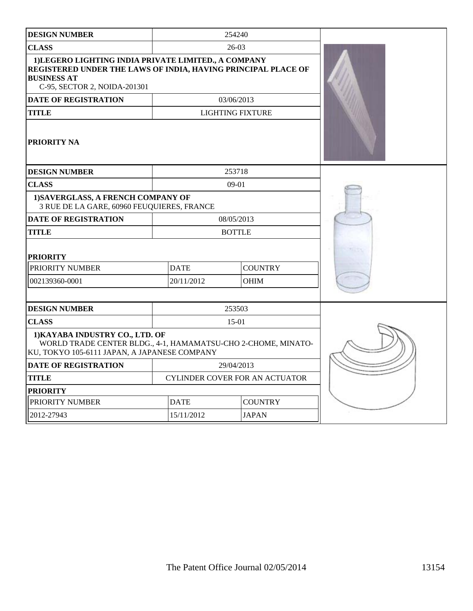| <b>DESIGN NUMBER</b>                                                                                                                                                        |                            | 254240                                |  |  |  |
|-----------------------------------------------------------------------------------------------------------------------------------------------------------------------------|----------------------------|---------------------------------------|--|--|--|
| <b>CLASS</b>                                                                                                                                                                | $26-03$                    |                                       |  |  |  |
| 1) LEGERO LIGHTING INDIA PRIVATE LIMITED., A COMPANY<br>REGISTERED UNDER THE LAWS OF INDIA, HAVING PRINCIPAL PLACE OF<br><b>BUSINESS AT</b><br>C-95, SECTOR 2, NOIDA-201301 |                            |                                       |  |  |  |
| <b>DATE OF REGISTRATION</b>                                                                                                                                                 |                            | 03/06/2013                            |  |  |  |
| <b>TITLE</b>                                                                                                                                                                |                            | <b>LIGHTING FIXTURE</b>               |  |  |  |
| PRIORITY NA                                                                                                                                                                 |                            |                                       |  |  |  |
| <b>DESIGN NUMBER</b>                                                                                                                                                        |                            | 253718                                |  |  |  |
| <b>CLASS</b>                                                                                                                                                                |                            | $09-01$                               |  |  |  |
| 1) SAVERGLASS, A FRENCH COMPANY OF<br>3 RUE DE LA GARE, 60960 FEUQUIERES, FRANCE                                                                                            |                            |                                       |  |  |  |
| <b>DATE OF REGISTRATION</b>                                                                                                                                                 |                            | 08/05/2013                            |  |  |  |
| <b>TITLE</b>                                                                                                                                                                |                            | <b>BOTTLE</b>                         |  |  |  |
| <b>PRIORITY</b>                                                                                                                                                             |                            |                                       |  |  |  |
| PRIORITY NUMBER                                                                                                                                                             | <b>DATE</b>                | <b>COUNTRY</b>                        |  |  |  |
| 002139360-0001                                                                                                                                                              | 20/11/2012<br><b>OHIM</b>  |                                       |  |  |  |
|                                                                                                                                                                             |                            |                                       |  |  |  |
| <b>DESIGN NUMBER</b>                                                                                                                                                        |                            | 253503                                |  |  |  |
| <b>CLASS</b>                                                                                                                                                                |                            |                                       |  |  |  |
| 1) KAYABA INDUSTRY CO., LTD. OF<br>WORLD TRADE CENTER BLDG., 4-1, HAMAMATSU-CHO 2-CHOME, MINATO-<br>KU, TOKYO 105-6111 JAPAN, A JAPANESE COMPANY                            |                            |                                       |  |  |  |
| <b>DATE OF REGISTRATION</b>                                                                                                                                                 |                            | 29/04/2013                            |  |  |  |
| <b>TITLE</b>                                                                                                                                                                |                            | <b>CYLINDER COVER FOR AN ACTUATOR</b> |  |  |  |
| <b>PRIORITY</b>                                                                                                                                                             |                            |                                       |  |  |  |
| PRIORITY NUMBER                                                                                                                                                             | <b>DATE</b>                | <b>COUNTRY</b>                        |  |  |  |
| 2012-27943                                                                                                                                                                  | 15/11/2012<br><b>JAPAN</b> |                                       |  |  |  |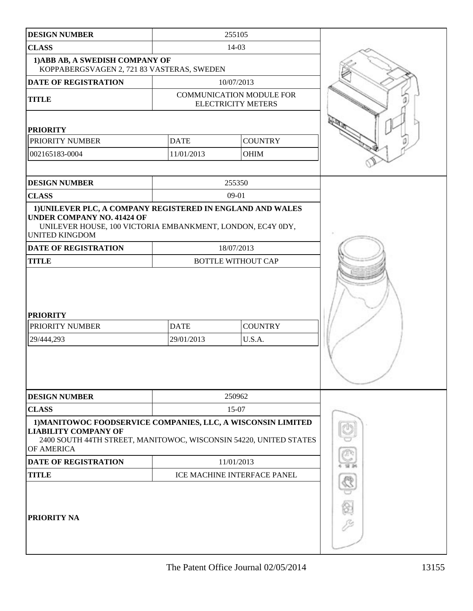| <b>DESIGN NUMBER</b>                                                                                                                                                                   |             | 255105                                                       |  |
|----------------------------------------------------------------------------------------------------------------------------------------------------------------------------------------|-------------|--------------------------------------------------------------|--|
| <b>CLASS</b>                                                                                                                                                                           |             |                                                              |  |
| 1) ABB AB, A SWEDISH COMPANY OF<br>KOPPABERGSVAGEN 2, 721 83 VASTERAS, SWEDEN                                                                                                          |             |                                                              |  |
| DATE OF REGISTRATION                                                                                                                                                                   |             | 10/07/2013                                                   |  |
| <b>TITLE</b>                                                                                                                                                                           |             | <b>COMMUNICATION MODULE FOR</b><br><b>ELECTRICITY METERS</b> |  |
| <b>PRIORITY</b>                                                                                                                                                                        |             |                                                              |  |
| PRIORITY NUMBER                                                                                                                                                                        | <b>DATE</b> | <b>COUNTRY</b>                                               |  |
| 002165183-0004                                                                                                                                                                         | 11/01/2013  | OHIM                                                         |  |
|                                                                                                                                                                                        |             |                                                              |  |
| <b>DESIGN NUMBER</b>                                                                                                                                                                   |             | 255350                                                       |  |
| <b>CLASS</b>                                                                                                                                                                           |             | $09-01$                                                      |  |
| 1) UNILEVER PLC, A COMPANY REGISTERED IN ENGLAND AND WALES<br><b>UNDER COMPANY NO. 41424 OF</b><br>UNILEVER HOUSE, 100 VICTORIA EMBANKMENT, LONDON, EC4Y 0DY,<br><b>UNITED KINGDOM</b> |             |                                                              |  |
| <b>DATE OF REGISTRATION</b>                                                                                                                                                            |             | 18/07/2013                                                   |  |
| <b>TITLE</b>                                                                                                                                                                           |             | <b>BOTTLE WITHOUT CAP</b>                                    |  |
| <b>PRIORITY</b><br>PRIORITY NUMBER<br>29/444,293                                                                                                                                       |             |                                                              |  |
| <b>DESIGN NUMBER</b>                                                                                                                                                                   |             | 250962                                                       |  |
| <b>CLASS</b>                                                                                                                                                                           |             | 15-07                                                        |  |
| 1) MANITOWOC FOODSERVICE COMPANIES, LLC, A WISCONSIN LIMITED<br><b>LIABILITY COMPANY OF</b><br>2400 SOUTH 44TH STREET, MANITOWOC, WISCONSIN 54220, UNITED STATES<br>OF AMERICA         |             |                                                              |  |
| <b>DATE OF REGISTRATION</b>                                                                                                                                                            |             | 11/01/2013                                                   |  |
| <b>TITLE</b>                                                                                                                                                                           |             |                                                              |  |
| PRIORITY NA                                                                                                                                                                            |             |                                                              |  |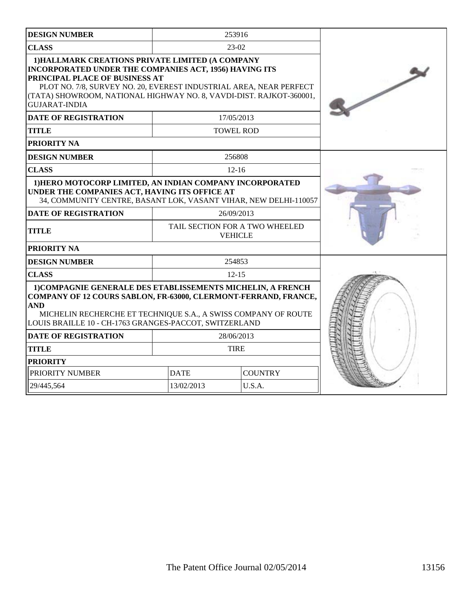| <b>DESIGN NUMBER</b>                                                                                                                                                                                                                                                                                              |                  | 253916                         |  |
|-------------------------------------------------------------------------------------------------------------------------------------------------------------------------------------------------------------------------------------------------------------------------------------------------------------------|------------------|--------------------------------|--|
|                                                                                                                                                                                                                                                                                                                   | $23-02$          |                                |  |
| <b>CLASS</b>                                                                                                                                                                                                                                                                                                      |                  |                                |  |
| 1) HALLMARK CREATIONS PRIVATE LIMITED (A COMPANY<br>INCORPORATED UNDER THE COMPANIES ACT, 1956) HAVING ITS<br>PRINCIPAL PLACE OF BUSINESS AT<br>PLOT NO. 7/8, SURVEY NO. 20, EVEREST INDUSTRIAL AREA, NEAR PERFECT<br>(TATA) SHOWROOM, NATIONAL HIGHWAY NO. 8, VAVDI-DIST. RAJKOT-360001,<br><b>GUJARAT-INDIA</b> |                  |                                |  |
| <b>DATE OF REGISTRATION</b>                                                                                                                                                                                                                                                                                       | 17/05/2013       |                                |  |
| <b>TITLE</b>                                                                                                                                                                                                                                                                                                      | <b>TOWEL ROD</b> |                                |  |
| <b>PRIORITY NA</b>                                                                                                                                                                                                                                                                                                |                  |                                |  |
| <b>DESIGN NUMBER</b>                                                                                                                                                                                                                                                                                              |                  | 256808                         |  |
| <b>CLASS</b>                                                                                                                                                                                                                                                                                                      |                  | $12 - 16$                      |  |
| 1) HERO MOTOCORP LIMITED, AN INDIAN COMPANY INCORPORATED<br>UNDER THE COMPANIES ACT, HAVING ITS OFFICE AT<br>34, COMMUNITY CENTRE, BASANT LOK, VASANT VIHAR, NEW DELHI-110057                                                                                                                                     |                  |                                |  |
| <b>DATE OF REGISTRATION</b>                                                                                                                                                                                                                                                                                       | 26/09/2013       |                                |  |
| <b>TITLE</b>                                                                                                                                                                                                                                                                                                      | <b>VEHICLE</b>   | TAIL SECTION FOR A TWO WHEELED |  |
| <b>PRIORITY NA</b>                                                                                                                                                                                                                                                                                                |                  |                                |  |
| <b>DESIGN NUMBER</b>                                                                                                                                                                                                                                                                                              |                  | 254853                         |  |
| <b>CLASS</b>                                                                                                                                                                                                                                                                                                      | $12 - 15$        |                                |  |
| 1) COMPAGNIE GENERALE DES ETABLISSEMENTS MICHELIN, A FRENCH<br>COMPANY OF 12 COURS SABLON, FR-63000, CLERMONT-FERRAND, FRANCE,<br><b>AND</b><br>MICHELIN RECHERCHE ET TECHNIQUE S.A., A SWISS COMPANY OF ROUTE<br>LOUIS BRAILLE 10 - CH-1763 GRANGES-PACCOT, SWITZERLAND                                          |                  |                                |  |
| <b>DATE OF REGISTRATION</b>                                                                                                                                                                                                                                                                                       |                  | 28/06/2013                     |  |
| <b>TITLE</b>                                                                                                                                                                                                                                                                                                      | <b>TIRE</b>      |                                |  |
| <b>PRIORITY</b>                                                                                                                                                                                                                                                                                                   |                  |                                |  |
| PRIORITY NUMBER                                                                                                                                                                                                                                                                                                   | <b>DATE</b>      | <b>COUNTRY</b>                 |  |
| 29/445,564                                                                                                                                                                                                                                                                                                        | 13/02/2013       | U.S.A.                         |  |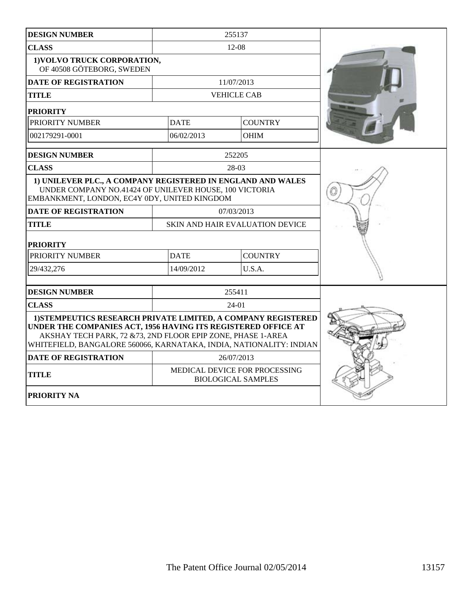| <b>DESIGN NUMBER</b>                                                                                                                                                                                                                                                  |                                                            | 255137                                 |  |  |  |
|-----------------------------------------------------------------------------------------------------------------------------------------------------------------------------------------------------------------------------------------------------------------------|------------------------------------------------------------|----------------------------------------|--|--|--|
| <b>CLASS</b>                                                                                                                                                                                                                                                          | 12-08                                                      |                                        |  |  |  |
| 1) VOLVO TRUCK CORPORATION,<br>OF 40508 GÖTEBORG, SWEDEN                                                                                                                                                                                                              |                                                            |                                        |  |  |  |
| <b>DATE OF REGISTRATION</b>                                                                                                                                                                                                                                           |                                                            | 11/07/2013                             |  |  |  |
| TITLE                                                                                                                                                                                                                                                                 |                                                            | <b>VEHICLE CAB</b>                     |  |  |  |
| <b>PRIORITY</b>                                                                                                                                                                                                                                                       |                                                            |                                        |  |  |  |
| PRIORITY NUMBER                                                                                                                                                                                                                                                       | <b>DATE</b>                                                | <b>COUNTRY</b>                         |  |  |  |
| 002179291-0001                                                                                                                                                                                                                                                        | 06/02/2013                                                 | <b>OHIM</b>                            |  |  |  |
| <b>DESIGN NUMBER</b>                                                                                                                                                                                                                                                  |                                                            | 252205                                 |  |  |  |
| <b>CLASS</b>                                                                                                                                                                                                                                                          |                                                            | 28-03                                  |  |  |  |
| 1) UNILEVER PLC., A COMPANY REGISTERED IN ENGLAND AND WALES<br>UNDER COMPANY NO.41424 OF UNILEVER HOUSE, 100 VICTORIA<br>EMBANKMENT, LONDON, EC4Y 0DY, UNITED KINGDOM                                                                                                 |                                                            |                                        |  |  |  |
| <b>DATE OF REGISTRATION</b>                                                                                                                                                                                                                                           |                                                            | 07/03/2013                             |  |  |  |
| <b>TITLE</b>                                                                                                                                                                                                                                                          |                                                            | <b>SKIN AND HAIR EVALUATION DEVICE</b> |  |  |  |
| <b>PRIORITY</b>                                                                                                                                                                                                                                                       |                                                            |                                        |  |  |  |
| PRIORITY NUMBER                                                                                                                                                                                                                                                       | <b>DATE</b>                                                | <b>COUNTRY</b>                         |  |  |  |
| 29/432,276                                                                                                                                                                                                                                                            | 14/09/2012                                                 | U.S.A.                                 |  |  |  |
|                                                                                                                                                                                                                                                                       |                                                            |                                        |  |  |  |
| <b>DESIGN NUMBER</b>                                                                                                                                                                                                                                                  |                                                            | 255411                                 |  |  |  |
| <b>CLASS</b>                                                                                                                                                                                                                                                          |                                                            | $24-01$                                |  |  |  |
| 1) STEMPEUTICS RESEARCH PRIVATE LIMITED, A COMPANY REGISTERED<br>UNDER THE COMPANIES ACT, 1956 HAVING ITS REGISTERED OFFICE AT<br>AKSHAY TECH PARK, 72 & 73, 2ND FLOOR EPIP ZONE, PHASE 1-AREA<br>WHITEFIELD, BANGALORE 560066, KARNATAKA, INDIA, NATIONALITY: INDIAN |                                                            |                                        |  |  |  |
| <b>DATE OF REGISTRATION</b>                                                                                                                                                                                                                                           |                                                            | 26/07/2013                             |  |  |  |
| TITLE                                                                                                                                                                                                                                                                 | MEDICAL DEVICE FOR PROCESSING<br><b>BIOLOGICAL SAMPLES</b> |                                        |  |  |  |
| PRIORITY NA                                                                                                                                                                                                                                                           |                                                            |                                        |  |  |  |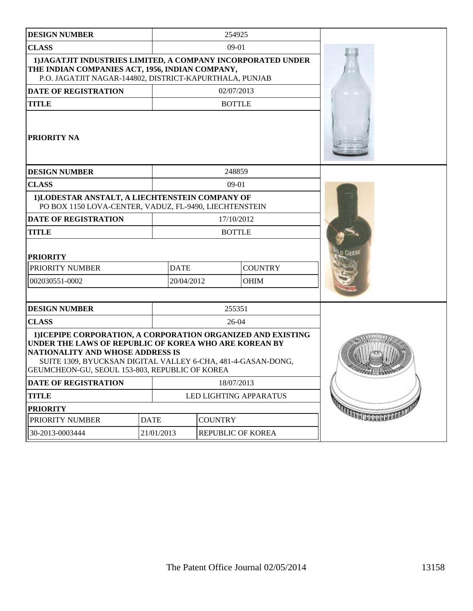| <b>DESIGN NUMBER</b>                                                                                                                                                                                                                                                        |                               |                           |  |                   |                                  |
|-----------------------------------------------------------------------------------------------------------------------------------------------------------------------------------------------------------------------------------------------------------------------------|-------------------------------|---------------------------|--|-------------------|----------------------------------|
| <b>CLASS</b>                                                                                                                                                                                                                                                                |                               |                           |  |                   |                                  |
| 1) JAGATJIT INDUSTRIES LIMITED, A COMPANY INCORPORATED UNDER<br>THE INDIAN COMPANIES ACT, 1956, INDIAN COMPANY,<br>P.O. JAGATJIT NAGAR-144802, DISTRICT-KAPURTHALA, PUNJAB                                                                                                  |                               |                           |  |                   |                                  |
| <b>DATE OF REGISTRATION</b>                                                                                                                                                                                                                                                 |                               |                           |  | 02/07/2013        |                                  |
| <b>TITLE</b>                                                                                                                                                                                                                                                                |                               |                           |  | <b>BOTTLE</b>     |                                  |
| <b>PRIORITY NA</b>                                                                                                                                                                                                                                                          |                               |                           |  |                   |                                  |
| <b>DESIGN NUMBER</b>                                                                                                                                                                                                                                                        |                               |                           |  | 248859            |                                  |
| <b>CLASS</b>                                                                                                                                                                                                                                                                |                               |                           |  | $09-01$           |                                  |
| 1)LODESTAR ANSTALT, A LIECHTENSTEIN COMPANY OF<br>PO BOX 1150 LOVA-CENTER, VADUZ, FL-9490, LIECHTENSTEIN                                                                                                                                                                    |                               |                           |  |                   |                                  |
| <b>DATE OF REGISTRATION</b>                                                                                                                                                                                                                                                 |                               |                           |  | 17/10/2012        |                                  |
| <b>TITLE</b>                                                                                                                                                                                                                                                                |                               |                           |  | <b>BOTTLE</b>     |                                  |
| <b>PRIORITY</b>                                                                                                                                                                                                                                                             |                               |                           |  |                   |                                  |
| PRIORITY NUMBER                                                                                                                                                                                                                                                             |                               | <b>DATE</b>               |  | <b>COUNTRY</b>    |                                  |
| 002030551-0002                                                                                                                                                                                                                                                              |                               | 20/04/2012<br><b>OHIM</b> |  |                   |                                  |
|                                                                                                                                                                                                                                                                             |                               |                           |  |                   |                                  |
| <b>DESIGN NUMBER</b>                                                                                                                                                                                                                                                        |                               |                           |  | 255351            |                                  |
| <b>CLASS</b>                                                                                                                                                                                                                                                                |                               |                           |  | $26-04$           |                                  |
| 1) ICEPIPE CORPORATION, A CORPORATION ORGANIZED AND EXISTING<br>UNDER THE LAWS OF REPUBLIC OF KOREA WHO ARE KOREAN BY<br>NATIONALITY AND WHOSE ADDRESS IS<br>SUITE 1309, BYUCKSAN DIGITAL VALLEY 6-CHA, 481-4-GASAN-DONG,<br>GEUMCHEON-GU, SEOUL 153-803, REPUBLIC OF KOREA | SANDRO CANADASS               |                           |  |                   |                                  |
| DATE OF REGISTRATION                                                                                                                                                                                                                                                        |                               | 18/07/2013                |  |                   |                                  |
| <b>TITLE</b>                                                                                                                                                                                                                                                                |                               | LED LIGHTING APPARATUS    |  |                   |                                  |
| <b>PRIORITY</b>                                                                                                                                                                                                                                                             |                               |                           |  |                   | <b>TANELL BEATHER AND AND IN</b> |
| PRIORITY NUMBER                                                                                                                                                                                                                                                             | <b>DATE</b><br><b>COUNTRY</b> |                           |  |                   |                                  |
| 30-2013-0003444                                                                                                                                                                                                                                                             | 21/01/2013                    |                           |  | REPUBLIC OF KOREA |                                  |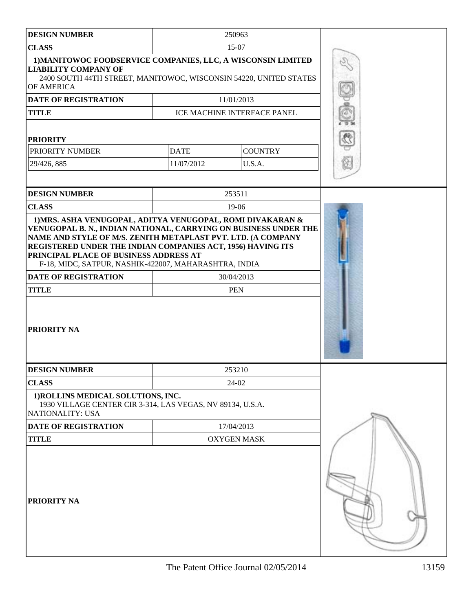| <b>DESIGN NUMBER</b>                                                                                                                                                                                                                                                                                                                                                    | 250963      |                             |  |
|-------------------------------------------------------------------------------------------------------------------------------------------------------------------------------------------------------------------------------------------------------------------------------------------------------------------------------------------------------------------------|-------------|-----------------------------|--|
| <b>CLASS</b>                                                                                                                                                                                                                                                                                                                                                            |             |                             |  |
| 1) MANITOWOC FOODSERVICE COMPANIES, LLC, A WISCONSIN LIMITED<br><b>LIABILITY COMPANY OF</b><br>2400 SOUTH 44TH STREET, MANITOWOC, WISCONSIN 54220, UNITED STATES<br>OF AMERICA                                                                                                                                                                                          |             |                             |  |
| DATE OF REGISTRATION                                                                                                                                                                                                                                                                                                                                                    |             | 11/01/2013                  |  |
| <b>TITLE</b>                                                                                                                                                                                                                                                                                                                                                            |             | ICE MACHINE INTERFACE PANEL |  |
|                                                                                                                                                                                                                                                                                                                                                                         |             |                             |  |
| <b>PRIORITY</b>                                                                                                                                                                                                                                                                                                                                                         |             |                             |  |
| PRIORITY NUMBER                                                                                                                                                                                                                                                                                                                                                         | <b>DATE</b> | <b>COUNTRY</b>              |  |
| 29/426, 885                                                                                                                                                                                                                                                                                                                                                             | 11/07/2012  | U.S.A.                      |  |
|                                                                                                                                                                                                                                                                                                                                                                         |             |                             |  |
| <b>DESIGN NUMBER</b>                                                                                                                                                                                                                                                                                                                                                    |             | 253511                      |  |
| <b>CLASS</b>                                                                                                                                                                                                                                                                                                                                                            |             | 19-06                       |  |
| VENUGOPAL B. N., INDIAN NATIONAL, CARRYING ON BUSINESS UNDER THE<br>NAME AND STYLE OF M/S. ZENITH METAPLAST PVT. LTD. (A COMPANY<br>REGISTERED UNDER THE INDIAN COMPANIES ACT, 1956) HAVING ITS<br>PRINCIPAL PLACE OF BUSINESS ADDRESS AT<br>F-18, MIDC, SATPUR, NASHIK-422007, MAHARASHTRA, INDIA<br><b>DATE OF REGISTRATION</b><br><b>TITLE</b><br><b>PRIORITY NA</b> |             |                             |  |
| <b>DESIGN NUMBER</b>                                                                                                                                                                                                                                                                                                                                                    |             | 253210                      |  |
| <b>CLASS</b>                                                                                                                                                                                                                                                                                                                                                            |             | 24-02                       |  |
| 1) ROLLINS MEDICAL SOLUTIONS, INC.<br>1930 VILLAGE CENTER CIR 3-314, LAS VEGAS, NV 89134, U.S.A.<br><b>NATIONALITY: USA</b>                                                                                                                                                                                                                                             |             |                             |  |
| DATE OF REGISTRATION                                                                                                                                                                                                                                                                                                                                                    |             | 17/04/2013                  |  |
| <b>TITLE</b>                                                                                                                                                                                                                                                                                                                                                            |             | <b>OXYGEN MASK</b>          |  |
| <b>PRIORITY NA</b>                                                                                                                                                                                                                                                                                                                                                      |             |                             |  |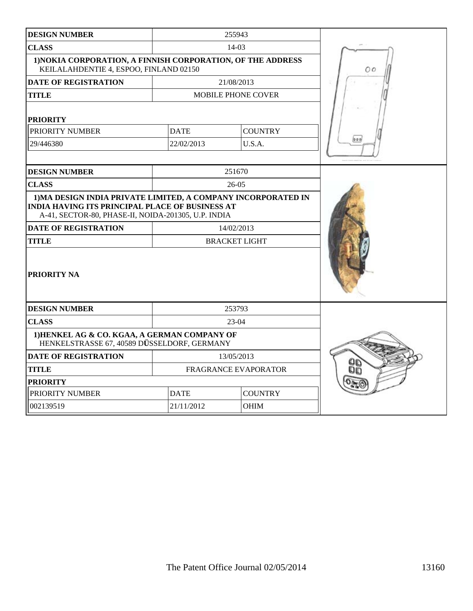| <b>DESIGN NUMBER</b>                                                                                                                                                           |             | 255943                      |     |
|--------------------------------------------------------------------------------------------------------------------------------------------------------------------------------|-------------|-----------------------------|-----|
| <b>CLASS</b>                                                                                                                                                                   |             | $14-03$                     |     |
| 1) NOKIA CORPORATION, A FINNISH CORPORATION, OF THE ADDRESS<br>KEILALAHDENTIE 4, ESPOO, FINLAND 02150                                                                          |             |                             | O O |
| <b>DATE OF REGISTRATION</b>                                                                                                                                                    |             | 21/08/2013                  |     |
| <b>TITLE</b>                                                                                                                                                                   |             | <b>MOBILE PHONE COVER</b>   |     |
| <b>PRIORITY</b>                                                                                                                                                                |             |                             |     |
| PRIORITY NUMBER                                                                                                                                                                | <b>DATE</b> | <b>COUNTRY</b>              |     |
| 29/446380                                                                                                                                                                      | 22/02/2013  | U.S.A.                      |     |
|                                                                                                                                                                                |             |                             |     |
| <b>DESIGN NUMBER</b>                                                                                                                                                           |             | 251670                      |     |
| <b>CLASS</b>                                                                                                                                                                   |             | $26-05$                     |     |
| 1) MA DESIGN INDIA PRIVATE LIMITED, A COMPANY INCORPORATED IN<br><b>INDIA HAVING ITS PRINCIPAL PLACE OF BUSINESS AT</b><br>A-41, SECTOR-80, PHASE-II, NOIDA-201305, U.P. INDIA |             |                             |     |
| <b>DATE OF REGISTRATION</b>                                                                                                                                                    |             | 14/02/2013                  |     |
| <b>TITLE</b>                                                                                                                                                                   |             | <b>BRACKET LIGHT</b>        |     |
| <b>PRIORITY NA</b>                                                                                                                                                             |             |                             |     |
| <b>DESIGN NUMBER</b>                                                                                                                                                           |             | 253793                      |     |
| <b>CLASS</b>                                                                                                                                                                   |             | $23-04$                     |     |
| 1) HENKEL AG & CO. KGAA, A GERMAN COMPANY OF<br>HENKELSTRASSE 67, 40589 DÜSSELDORF, GERMANY                                                                                    |             |                             |     |
| <b>DATE OF REGISTRATION</b>                                                                                                                                                    |             | 13/05/2013                  |     |
| <b>TITLE</b>                                                                                                                                                                   |             | <b>FRAGRANCE EVAPORATOR</b> |     |
| <b>PRIORITY</b>                                                                                                                                                                |             |                             |     |
| PRIORITY NUMBER                                                                                                                                                                | <b>DATE</b> | <b>COUNTRY</b>              |     |
| 002139519                                                                                                                                                                      | 21/11/2012  | <b>OHIM</b>                 |     |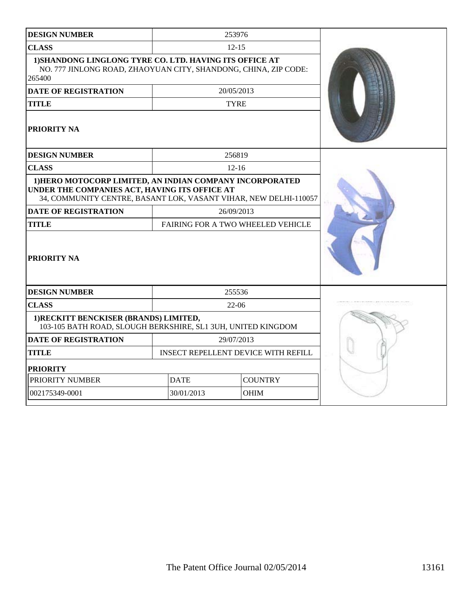| <b>DESIGN NUMBER</b>                                                                                                                                                          |                               | 253976                                     |  |
|-------------------------------------------------------------------------------------------------------------------------------------------------------------------------------|-------------------------------|--------------------------------------------|--|
| <b>CLASS</b>                                                                                                                                                                  |                               | $12 - 15$                                  |  |
| 1) SHANDONG LINGLONG TYRE CO. LTD. HAVING ITS OFFICE AT<br>NO. 777 JINLONG ROAD, ZHAOYUAN CITY, SHANDONG, CHINA, ZIP CODE:<br>265400                                          |                               |                                            |  |
| <b>DATE OF REGISTRATION</b>                                                                                                                                                   |                               | 20/05/2013                                 |  |
| <b>TITLE</b>                                                                                                                                                                  |                               | <b>TYRE</b>                                |  |
| PRIORITY NA                                                                                                                                                                   |                               |                                            |  |
| <b>DESIGN NUMBER</b>                                                                                                                                                          |                               | 256819                                     |  |
| <b>CLASS</b>                                                                                                                                                                  |                               | $12 - 16$                                  |  |
| 1) HERO MOTOCORP LIMITED, AN INDIAN COMPANY INCORPORATED<br>UNDER THE COMPANIES ACT, HAVING ITS OFFICE AT<br>34, COMMUNITY CENTRE, BASANT LOK, VASANT VIHAR, NEW DELHI-110057 |                               |                                            |  |
| <b>DATE OF REGISTRATION</b>                                                                                                                                                   |                               | 26/09/2013                                 |  |
| <b>TITLE</b>                                                                                                                                                                  |                               | <b>FAIRING FOR A TWO WHEELED VEHICLE</b>   |  |
| <b>PRIORITY NA</b>                                                                                                                                                            |                               |                                            |  |
| <b>DESIGN NUMBER</b>                                                                                                                                                          |                               | 255536                                     |  |
| <b>CLASS</b>                                                                                                                                                                  |                               | $22 - 06$                                  |  |
| 1) RECKITT BENCKISER (BRANDS) LIMITED,<br>103-105 BATH ROAD, SLOUGH BERKSHIRE, SL1 3UH, UNITED KINGDOM                                                                        |                               |                                            |  |
| <b>DATE OF REGISTRATION</b>                                                                                                                                                   |                               | 29/07/2013                                 |  |
| <b>TITLE</b>                                                                                                                                                                  |                               | <b>INSECT REPELLENT DEVICE WITH REFILL</b> |  |
| <b>PRIORITY</b>                                                                                                                                                               |                               |                                            |  |
| PRIORITY NUMBER                                                                                                                                                               | <b>DATE</b><br><b>COUNTRY</b> |                                            |  |
| 002175349-0001                                                                                                                                                                | 30/01/2013                    | OHIM                                       |  |
|                                                                                                                                                                               |                               |                                            |  |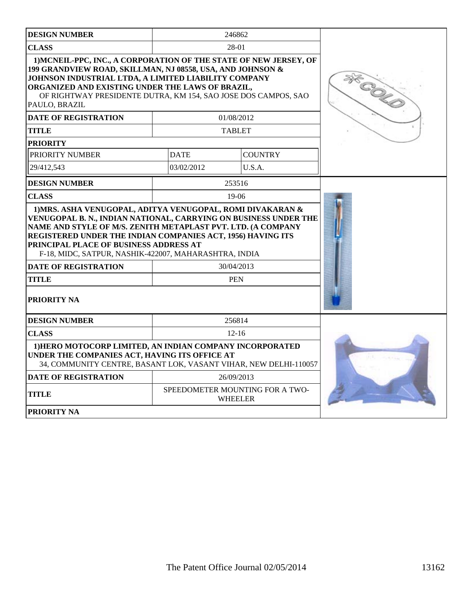| <b>DESIGN NUMBER</b>                                                                                                                                                                                                                                                                                                                                                          |                | 246862                                            |  |
|-------------------------------------------------------------------------------------------------------------------------------------------------------------------------------------------------------------------------------------------------------------------------------------------------------------------------------------------------------------------------------|----------------|---------------------------------------------------|--|
| <b>CLASS</b>                                                                                                                                                                                                                                                                                                                                                                  |                | 28-01                                             |  |
| 1) MCNEIL-PPC, INC., A CORPORATION OF THE STATE OF NEW JERSEY, OF<br>199 GRANDVIEW ROAD, SKILLMAN, NJ 08558, USA, AND JOHNSON &<br>JOHNSON INDUSTRIAL LTDA, A LIMITED LIABILITY COMPANY<br>ORGANIZED AND EXISTING UNDER THE LAWS OF BRAZIL,<br>OF RIGHTWAY PRESIDENTE DUTRA, KM 154, SAO JOSE DOS CAMPOS, SAO<br>PAULO, BRAZIL                                                | <b>SK COLD</b> |                                                   |  |
| <b>DATE OF REGISTRATION</b>                                                                                                                                                                                                                                                                                                                                                   |                | 01/08/2012                                        |  |
| <b>TITLE</b>                                                                                                                                                                                                                                                                                                                                                                  |                | <b>TABLET</b>                                     |  |
| <b>PRIORITY</b>                                                                                                                                                                                                                                                                                                                                                               |                |                                                   |  |
| PRIORITY NUMBER                                                                                                                                                                                                                                                                                                                                                               | <b>DATE</b>    | <b>COUNTRY</b>                                    |  |
| 29/412,543                                                                                                                                                                                                                                                                                                                                                                    | 03/02/2012     | U.S.A.                                            |  |
| <b>DESIGN NUMBER</b>                                                                                                                                                                                                                                                                                                                                                          |                | 253516                                            |  |
| <b>CLASS</b>                                                                                                                                                                                                                                                                                                                                                                  |                | $19-06$                                           |  |
| VENUGOPAL B. N., INDIAN NATIONAL, CARRYING ON BUSINESS UNDER THE<br>NAME AND STYLE OF M/S. ZENITH METAPLAST PVT. LTD. (A COMPANY<br>REGISTERED UNDER THE INDIAN COMPANIES ACT, 1956) HAVING ITS<br>PRINCIPAL PLACE OF BUSINESS ADDRESS AT<br>F-18, MIDC, SATPUR, NASHIK-422007, MAHARASHTRA, INDIA<br><b>DATE OF REGISTRATION</b><br>30/04/2013<br><b>TITLE</b><br><b>PEN</b> |                |                                                   |  |
| <b>PRIORITY NA</b>                                                                                                                                                                                                                                                                                                                                                            |                |                                                   |  |
| <b>DESIGN NUMBER</b>                                                                                                                                                                                                                                                                                                                                                          |                | 256814                                            |  |
| <b>CLASS</b>                                                                                                                                                                                                                                                                                                                                                                  |                |                                                   |  |
| 1) HERO MOTOCORP LIMITED, AN INDIAN COMPANY INCORPORATED<br>UNDER THE COMPANIES ACT, HAVING ITS OFFICE AT<br>34, COMMUNITY CENTRE, BASANT LOK, VASANT VIHAR, NEW DELHI-110057                                                                                                                                                                                                 |                |                                                   |  |
| <b>DATE OF REGISTRATION</b>                                                                                                                                                                                                                                                                                                                                                   |                | 26/09/2013                                        |  |
| TITLE                                                                                                                                                                                                                                                                                                                                                                         |                | SPEEDOMETER MOUNTING FOR A TWO-<br><b>WHEELER</b> |  |
| <b>PRIORITY NA</b>                                                                                                                                                                                                                                                                                                                                                            |                |                                                   |  |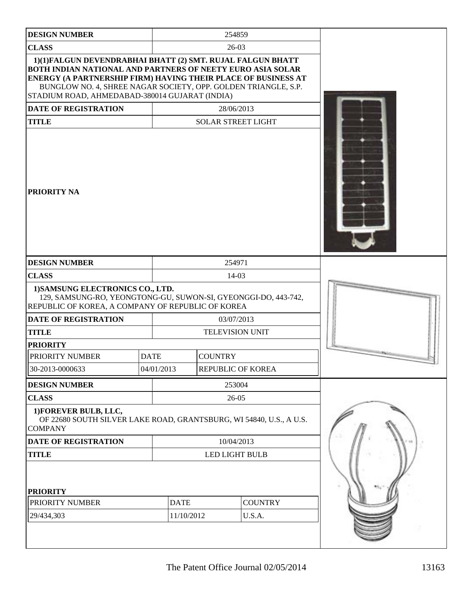| <b>DESIGN NUMBER</b>                                                                                                                                                                                                                                                                                          |             | 254859                    |                |                           |  |
|---------------------------------------------------------------------------------------------------------------------------------------------------------------------------------------------------------------------------------------------------------------------------------------------------------------|-------------|---------------------------|----------------|---------------------------|--|
| <b>CLASS</b><br>$26-03$                                                                                                                                                                                                                                                                                       |             |                           |                |                           |  |
| 1)(1)FALGUN DEVENDRABHAI BHATT (2) SMT. RUJAL FALGUN BHATT<br>BOTH INDIAN NATIONAL AND PARTNERS OF NEETY EURO ASIA SOLAR<br>ENERGY (A PARTNERSHIP FIRM) HAVING THEIR PLACE OF BUSINESS AT<br>BUNGLOW NO. 4, SHREE NAGAR SOCIETY, OPP. GOLDEN TRIANGLE, S.P.<br>STADIUM ROAD, AHMEDABAD-380014 GUJARAT (INDIA) |             |                           |                |                           |  |
| <b>DATE OF REGISTRATION</b><br>28/06/2013                                                                                                                                                                                                                                                                     |             |                           |                |                           |  |
| <b>TITLE</b>                                                                                                                                                                                                                                                                                                  |             |                           |                | <b>SOLAR STREET LIGHT</b> |  |
| <b>PRIORITY NA</b>                                                                                                                                                                                                                                                                                            |             |                           |                |                           |  |
| <b>DESIGN NUMBER</b>                                                                                                                                                                                                                                                                                          | 254971      |                           |                |                           |  |
| <b>CLASS</b>                                                                                                                                                                                                                                                                                                  |             |                           |                | 14-03                     |  |
| 1) SAMSUNG ELECTRONICS CO., LTD.<br>129, SAMSUNG-RO, YEONGTONG-GU, SUWON-SI, GYEONGGI-DO, 443-742,<br>REPUBLIC OF KOREA, A COMPANY OF REPUBLIC OF KOREA<br><b>DATE OF REGISTRATION</b><br>03/07/2013                                                                                                          |             |                           |                |                           |  |
| <b>TITLE</b><br><b>TELEVISION UNIT</b>                                                                                                                                                                                                                                                                        |             |                           |                |                           |  |
| <b>PRIORITY</b>                                                                                                                                                                                                                                                                                               |             |                           |                |                           |  |
| PRIORITY NUMBER                                                                                                                                                                                                                                                                                               | <b>DATE</b> |                           | <b>COUNTRY</b> |                           |  |
| 30-2013-0000633                                                                                                                                                                                                                                                                                               |             | 04/01/2013                |                | REPUBLIC OF KOREA         |  |
| <b>DESIGN NUMBER</b>                                                                                                                                                                                                                                                                                          |             |                           |                | 253004                    |  |
| <b>CLASS</b>                                                                                                                                                                                                                                                                                                  |             |                           |                | $26-05$                   |  |
| 1) FOREVER BULB, LLC,<br>OF 22680 SOUTH SILVER LAKE ROAD, GRANTSBURG, WI 54840, U.S., A U.S.<br><b>COMPANY</b>                                                                                                                                                                                                |             |                           |                |                           |  |
| DATE OF REGISTRATION                                                                                                                                                                                                                                                                                          | 10/04/2013  |                           |                |                           |  |
| <b>TITLE</b>                                                                                                                                                                                                                                                                                                  |             | LED LIGHT BULB            |                |                           |  |
| <b>PRIORITY</b><br>PRIORITY NUMBER<br>29/434,303                                                                                                                                                                                                                                                              |             | <b>DATE</b><br>11/10/2012 |                | <b>COUNTRY</b><br>U.S.A.  |  |
|                                                                                                                                                                                                                                                                                                               |             |                           |                |                           |  |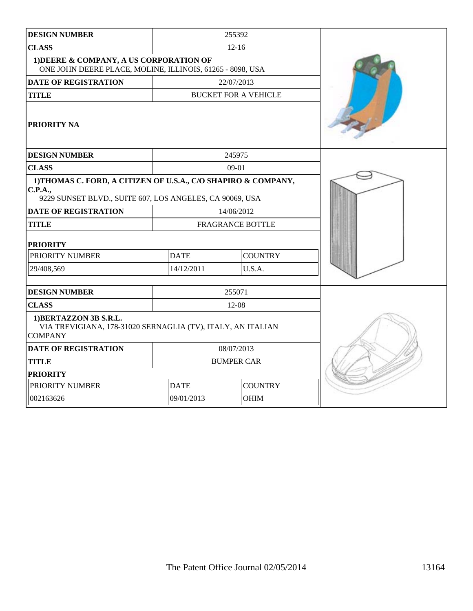| <b>DESIGN NUMBER</b>                                                                                                                        |             | 255392                      |  |
|---------------------------------------------------------------------------------------------------------------------------------------------|-------------|-----------------------------|--|
| <b>CLASS</b>                                                                                                                                |             | $12 - 16$                   |  |
| 1) DEERE & COMPANY, A US CORPORATION OF<br>ONE JOHN DEERE PLACE, MOLINE, ILLINOIS, 61265 - 8098, USA                                        |             |                             |  |
| <b>DATE OF REGISTRATION</b>                                                                                                                 |             | 22/07/2013                  |  |
| <b>TITLE</b>                                                                                                                                |             | <b>BUCKET FOR A VEHICLE</b> |  |
| PRIORITY NA                                                                                                                                 |             |                             |  |
| <b>DESIGN NUMBER</b>                                                                                                                        |             | 245975                      |  |
| <b>CLASS</b>                                                                                                                                |             | $09-01$                     |  |
| 1)THOMAS C. FORD, A CITIZEN OF U.S.A., C/O SHAPIRO & COMPANY,<br><b>C.P.A.,</b><br>9229 SUNSET BLVD., SUITE 607, LOS ANGELES, CA 90069, USA |             |                             |  |
| <b>DATE OF REGISTRATION</b>                                                                                                                 |             | 14/06/2012                  |  |
| <b>TITLE</b>                                                                                                                                |             | <b>FRAGRANCE BOTTLE</b>     |  |
| <b>PRIORITY</b>                                                                                                                             |             |                             |  |
| PRIORITY NUMBER                                                                                                                             | <b>DATE</b> | <b>COUNTRY</b>              |  |
| 29/408,569                                                                                                                                  | 14/12/2011  | U.S.A.                      |  |
|                                                                                                                                             |             |                             |  |
| <b>DESIGN NUMBER</b>                                                                                                                        |             | 255071                      |  |
| <b>CLASS</b>                                                                                                                                |             | 12-08                       |  |
| 1) BERTAZZON 3B S.R.L.<br>VIA TREVIGIANA, 178-31020 SERNAGLIA (TV), ITALY, AN ITALIAN<br><b>COMPANY</b>                                     |             |                             |  |
| <b>DATE OF REGISTRATION</b>                                                                                                                 |             | 08/07/2013                  |  |
| <b>TITLE</b>                                                                                                                                |             | <b>BUMPER CAR</b>           |  |
| <b>PRIORITY</b>                                                                                                                             |             |                             |  |
| PRIORITY NUMBER                                                                                                                             | <b>DATE</b> | <b>COUNTRY</b>              |  |
| 002163626                                                                                                                                   | 09/01/2013  | <b>OHIM</b>                 |  |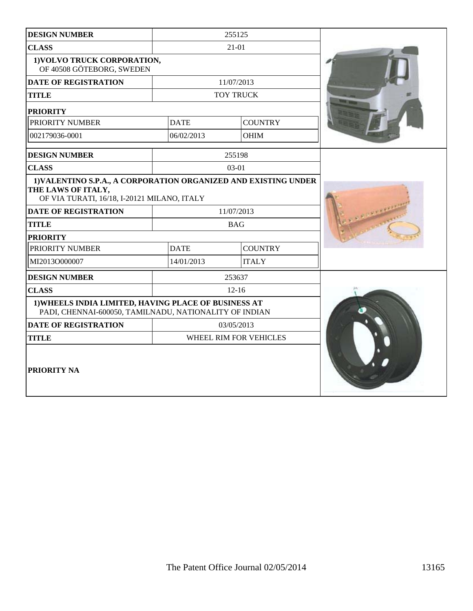| <b>DESIGN NUMBER</b>                                                                                                                 |             | 255125                 |  |
|--------------------------------------------------------------------------------------------------------------------------------------|-------------|------------------------|--|
| <b>CLASS</b>                                                                                                                         |             | $21 - 01$              |  |
| 1) VOLVO TRUCK CORPORATION,<br>OF 40508 GÖTEBORG, SWEDEN                                                                             |             |                        |  |
| <b>DATE OF REGISTRATION</b>                                                                                                          |             | 11/07/2013             |  |
| <b>TITLE</b>                                                                                                                         |             | <b>TOY TRUCK</b>       |  |
| <b>PRIORITY</b>                                                                                                                      |             |                        |  |
| PRIORITY NUMBER                                                                                                                      | <b>DATE</b> | <b>COUNTRY</b>         |  |
| 002179036-0001                                                                                                                       | 06/02/2013  | <b>OHIM</b>            |  |
| <b>DESIGN NUMBER</b>                                                                                                                 |             | 255198                 |  |
| <b>CLASS</b>                                                                                                                         |             | $03-01$                |  |
| 1) VALENTINO S.P.A., A CORPORATION ORGANIZED AND EXISTING UNDER<br>THE LAWS OF ITALY,<br>OF VIA TURATI, 16/18, I-20121 MILANO, ITALY |             |                        |  |
| <b>DATE OF REGISTRATION</b>                                                                                                          |             | 11/07/2013             |  |
| <b>TITLE</b>                                                                                                                         |             | <b>BAG</b>             |  |
| <b>PRIORITY</b>                                                                                                                      |             |                        |  |
| PRIORITY NUMBER                                                                                                                      | <b>DATE</b> | <b>COUNTRY</b>         |  |
| MI2013O000007                                                                                                                        | 14/01/2013  | <b>ITALY</b>           |  |
| <b>DESIGN NUMBER</b>                                                                                                                 |             | 253637                 |  |
| <b>CLASS</b>                                                                                                                         |             | $12 - 16$              |  |
| 1) WHEELS INDIA LIMITED, HAVING PLACE OF BUSINESS AT<br>PADI, CHENNAI-600050, TAMILNADU, NATIONALITY OF INDIAN                       |             |                        |  |
| <b>DATE OF REGISTRATION</b>                                                                                                          |             | 03/05/2013             |  |
| <b>TITLE</b>                                                                                                                         |             | WHEEL RIM FOR VEHICLES |  |
| PRIORITY NA                                                                                                                          |             |                        |  |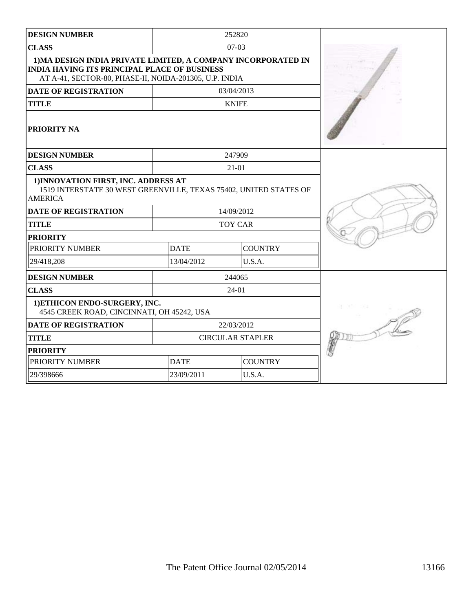| <b>DESIGN NUMBER</b>                                                                                                                                                           |             | 252820                  |  |
|--------------------------------------------------------------------------------------------------------------------------------------------------------------------------------|-------------|-------------------------|--|
| <b>CLASS</b>                                                                                                                                                                   |             | $07-03$                 |  |
| 1) MA DESIGN INDIA PRIVATE LIMITED, A COMPANY INCORPORATED IN<br><b>INDIA HAVING ITS PRINCIPAL PLACE OF BUSINESS</b><br>AT A-41, SECTOR-80, PHASE-II, NOIDA-201305, U.P. INDIA |             |                         |  |
| <b>DATE OF REGISTRATION</b>                                                                                                                                                    |             | 03/04/2013              |  |
| <b>TITLE</b>                                                                                                                                                                   |             | <b>KNIFE</b>            |  |
| <b>PRIORITY NA</b>                                                                                                                                                             |             |                         |  |
| <b>DESIGN NUMBER</b>                                                                                                                                                           |             | 247909                  |  |
| <b>CLASS</b>                                                                                                                                                                   |             | $21 - 01$               |  |
| 1) INNOVATION FIRST, INC. ADDRESS AT<br>1519 INTERSTATE 30 WEST GREENVILLE, TEXAS 75402, UNITED STATES OF<br><b>AMERICA</b>                                                    |             |                         |  |
| <b>DATE OF REGISTRATION</b>                                                                                                                                                    |             | 14/09/2012              |  |
| <b>TITLE</b>                                                                                                                                                                   |             | <b>TOY CAR</b>          |  |
| <b>PRIORITY</b>                                                                                                                                                                |             |                         |  |
| PRIORITY NUMBER                                                                                                                                                                | <b>DATE</b> | <b>COUNTRY</b>          |  |
| 29/418,208                                                                                                                                                                     | 13/04/2012  | U.S.A.                  |  |
| <b>DESIGN NUMBER</b>                                                                                                                                                           |             | 244065                  |  |
| <b>CLASS</b>                                                                                                                                                                   |             | 24-01                   |  |
| 1) ETHICON ENDO-SURGERY, INC.<br>4545 CREEK ROAD, CINCINNATI, OH 45242, USA                                                                                                    |             |                         |  |
| <b>DATE OF REGISTRATION</b>                                                                                                                                                    |             | 22/03/2012              |  |
| <b>TITLE</b>                                                                                                                                                                   |             | <b>CIRCULAR STAPLER</b> |  |
| <b>PRIORITY</b>                                                                                                                                                                |             |                         |  |
| PRIORITY NUMBER                                                                                                                                                                | <b>DATE</b> | <b>COUNTRY</b>          |  |
| 29/398666                                                                                                                                                                      | 23/09/2011  | U.S.A.                  |  |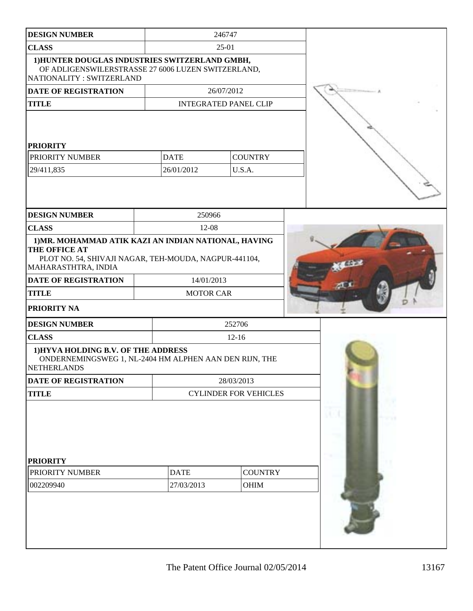| <b>DESIGN NUMBER</b>                                                                                                                                  |             | 246747                       |                              |  |  |
|-------------------------------------------------------------------------------------------------------------------------------------------------------|-------------|------------------------------|------------------------------|--|--|
| <b>CLASS</b>                                                                                                                                          |             | $25-01$                      |                              |  |  |
| 1) HUNTER DOUGLAS INDUSTRIES SWITZERLAND GMBH,<br>OF ADLIGENSWILERSTRASSE 27 6006 LUZEN SWITZERLAND,<br>NATIONALITY: SWITZERLAND                      |             |                              |                              |  |  |
| DATE OF REGISTRATION                                                                                                                                  |             |                              | 26/07/2012                   |  |  |
| <b>TITLE</b>                                                                                                                                          |             |                              | <b>INTEGRATED PANEL CLIP</b> |  |  |
| <b>PRIORITY</b>                                                                                                                                       |             |                              |                              |  |  |
| PRIORITY NUMBER                                                                                                                                       | <b>DATE</b> |                              | <b>COUNTRY</b>               |  |  |
| 29/411,835                                                                                                                                            | 26/01/2012  |                              | U.S.A.                       |  |  |
|                                                                                                                                                       |             |                              |                              |  |  |
| <b>DESIGN NUMBER</b>                                                                                                                                  |             | 250966                       |                              |  |  |
| <b>CLASS</b>                                                                                                                                          |             | 12-08                        |                              |  |  |
| 1) MR. MOHAMMAD ATIK KAZI AN INDIAN NATIONAL, HAVING<br>THE OFFICE AT<br>PLOT NO. 54, SHIVAJI NAGAR, TEH-MOUDA, NAGPUR-441104,<br>MAHARASTHTRA, INDIA |             |                              |                              |  |  |
| <b>DATE OF REGISTRATION</b>                                                                                                                           |             | 14/01/2013                   |                              |  |  |
| <b>TITLE</b>                                                                                                                                          |             | <b>MOTOR CAR</b>             |                              |  |  |
| PRIORITY NA                                                                                                                                           |             |                              |                              |  |  |
| <b>DESIGN NUMBER</b>                                                                                                                                  |             |                              | 252706                       |  |  |
| <b>CLASS</b>                                                                                                                                          |             | $12 - 16$                    |                              |  |  |
| 1) HYVA HOLDING B.V. OF THE ADDRESS<br>ONDERNEMINGSWEG 1, NL-2404 HM ALPHEN AAN DEN RIJN, THE<br>NETHERLANDS                                          |             |                              |                              |  |  |
| DATE OF REGISTRATION                                                                                                                                  |             |                              | 28/03/2013                   |  |  |
| <b>TITLE</b>                                                                                                                                          |             | <b>CYLINDER FOR VEHICLES</b> |                              |  |  |
| <b>PRIORITY</b>                                                                                                                                       |             |                              |                              |  |  |
| PRIORITY NUMBER                                                                                                                                       | <b>DATE</b> |                              | <b>COUNTRY</b>               |  |  |
| 002209940                                                                                                                                             | 27/03/2013  |                              | OHIM                         |  |  |
|                                                                                                                                                       |             |                              |                              |  |  |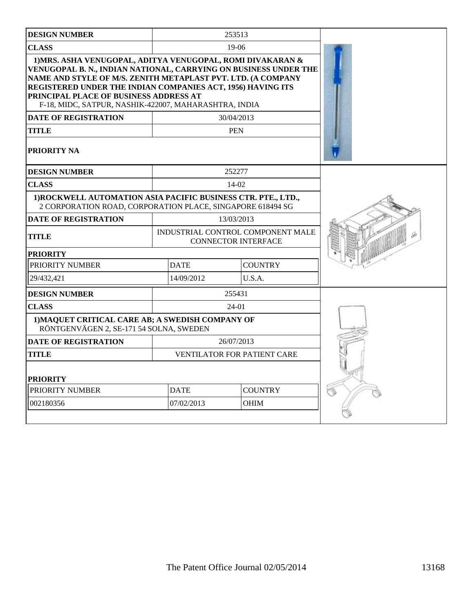| <b>DESIGN NUMBER</b>                                                                                                                                                                                                                                                                                                                                                                            |             | 253513                                                          |  |
|-------------------------------------------------------------------------------------------------------------------------------------------------------------------------------------------------------------------------------------------------------------------------------------------------------------------------------------------------------------------------------------------------|-------------|-----------------------------------------------------------------|--|
| <b>CLASS</b>                                                                                                                                                                                                                                                                                                                                                                                    |             | $19-06$                                                         |  |
| 1) MRS. ASHA VENUGOPAL, ADITYA VENUGOPAL, ROMI DIVAKARAN &<br>VENUGOPAL B. N., INDIAN NATIONAL, CARRYING ON BUSINESS UNDER THE<br>NAME AND STYLE OF M/S. ZENITH METAPLAST PVT. LTD. (A COMPANY<br>REGISTERED UNDER THE INDIAN COMPANIES ACT, 1956) HAVING ITS<br>PRINCIPAL PLACE OF BUSINESS ADDRESS AT<br>F-18, MIDC, SATPUR, NASHIK-422007, MAHARASHTRA, INDIA<br><b>DATE OF REGISTRATION</b> |             | 30/04/2013                                                      |  |
| <b>TITLE</b>                                                                                                                                                                                                                                                                                                                                                                                    |             | <b>PEN</b>                                                      |  |
| <b>PRIORITY NA</b>                                                                                                                                                                                                                                                                                                                                                                              |             |                                                                 |  |
| <b>DESIGN NUMBER</b>                                                                                                                                                                                                                                                                                                                                                                            |             | 252277                                                          |  |
| <b>CLASS</b>                                                                                                                                                                                                                                                                                                                                                                                    |             | 14-02                                                           |  |
| 1) ROCKWELL AUTOMATION ASIA PACIFIC BUSINESS CTR. PTE., LTD.,<br>2 CORPORATION ROAD, CORPORATION PLACE, SINGAPORE 618494 SG                                                                                                                                                                                                                                                                     |             |                                                                 |  |
| <b>DATE OF REGISTRATION</b>                                                                                                                                                                                                                                                                                                                                                                     |             | 13/03/2013                                                      |  |
| <b>TITLE</b>                                                                                                                                                                                                                                                                                                                                                                                    |             | INDUSTRIAL CONTROL COMPONENT MALE<br><b>CONNECTOR INTERFACE</b> |  |
| <b>PRIORITY</b>                                                                                                                                                                                                                                                                                                                                                                                 |             |                                                                 |  |
| PRIORITY NUMBER                                                                                                                                                                                                                                                                                                                                                                                 | <b>DATE</b> | <b>COUNTRY</b>                                                  |  |
| 29/432,421                                                                                                                                                                                                                                                                                                                                                                                      | 14/09/2012  | U.S.A.                                                          |  |
| <b>DESIGN NUMBER</b>                                                                                                                                                                                                                                                                                                                                                                            |             | 255431                                                          |  |
| <b>CLASS</b>                                                                                                                                                                                                                                                                                                                                                                                    |             | 24-01                                                           |  |
| 1) MAQUET CRITICAL CARE AB; A SWEDISH COMPANY OF<br>RÖNTGENVÄGEN 2, SE-171 54 SOLNA, SWEDEN                                                                                                                                                                                                                                                                                                     |             |                                                                 |  |
| <b>DATE OF REGISTRATION</b>                                                                                                                                                                                                                                                                                                                                                                     |             | 26/07/2013                                                      |  |
| <b>TITLE</b>                                                                                                                                                                                                                                                                                                                                                                                    |             | <b>VENTILATOR FOR PATIENT CARE</b>                              |  |
| <b>PRIORITY</b>                                                                                                                                                                                                                                                                                                                                                                                 |             |                                                                 |  |
| PRIORITY NUMBER                                                                                                                                                                                                                                                                                                                                                                                 | <b>DATE</b> | <b>COUNTRY</b>                                                  |  |
| 002180356                                                                                                                                                                                                                                                                                                                                                                                       | 07/02/2013  | <b>OHIM</b>                                                     |  |
|                                                                                                                                                                                                                                                                                                                                                                                                 |             |                                                                 |  |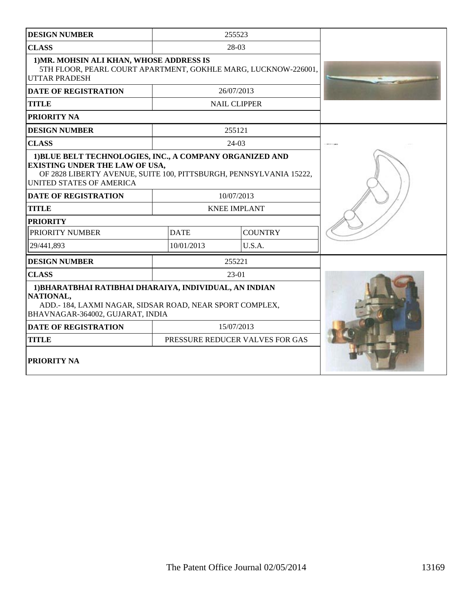| <b>DESIGN NUMBER</b>                                                                                                                                                                                |             | 255523                          |  |
|-----------------------------------------------------------------------------------------------------------------------------------------------------------------------------------------------------|-------------|---------------------------------|--|
| <b>CLASS</b>                                                                                                                                                                                        |             | 28-03                           |  |
| 1) MR. MOHSIN ALI KHAN, WHOSE ADDRESS IS<br>5TH FLOOR, PEARL COURT APARTMENT, GOKHLE MARG, LUCKNOW-226001,<br><b>UTTAR PRADESH</b>                                                                  |             |                                 |  |
| <b>DATE OF REGISTRATION</b>                                                                                                                                                                         |             | 26/07/2013                      |  |
| <b>TITLE</b>                                                                                                                                                                                        |             | <b>NAIL CLIPPER</b>             |  |
| <b>PRIORITY NA</b>                                                                                                                                                                                  |             |                                 |  |
| <b>DESIGN NUMBER</b>                                                                                                                                                                                |             | 255121                          |  |
| <b>CLASS</b>                                                                                                                                                                                        |             | $24-03$                         |  |
| 1) BLUE BELT TECHNOLOGIES, INC., A COMPANY ORGANIZED AND<br><b>EXISTING UNDER THE LAW OF USA,</b><br>OF 2828 LIBERTY AVENUE, SUITE 100, PITTSBURGH, PENNSYLVANIA 15222,<br>UNITED STATES OF AMERICA |             |                                 |  |
| <b>DATE OF REGISTRATION</b>                                                                                                                                                                         |             | 10/07/2013                      |  |
| <b>TITLE</b>                                                                                                                                                                                        |             | <b>KNEE IMPLANT</b>             |  |
| <b>PRIORITY</b>                                                                                                                                                                                     |             |                                 |  |
| PRIORITY NUMBER                                                                                                                                                                                     | <b>DATE</b> | <b>COUNTRY</b>                  |  |
| 29/441,893                                                                                                                                                                                          | 10/01/2013  | U.S.A.                          |  |
| <b>DESIGN NUMBER</b>                                                                                                                                                                                |             | 255221                          |  |
| <b>CLASS</b>                                                                                                                                                                                        |             | $23-01$                         |  |
| 1) BHARATBHAI RATIBHAI DHARAIYA, INDIVIDUAL, AN INDIAN<br>NATIONAL,<br>ADD.- 184, LAXMI NAGAR, SIDSAR ROAD, NEAR SPORT COMPLEX,<br>BHAVNAGAR-364002, GUJARAT, INDIA                                 |             |                                 |  |
| <b>DATE OF REGISTRATION</b>                                                                                                                                                                         |             | 15/07/2013                      |  |
| <b>TITLE</b>                                                                                                                                                                                        |             | PRESSURE REDUCER VALVES FOR GAS |  |
| <b>PRIORITY NA</b>                                                                                                                                                                                  |             |                                 |  |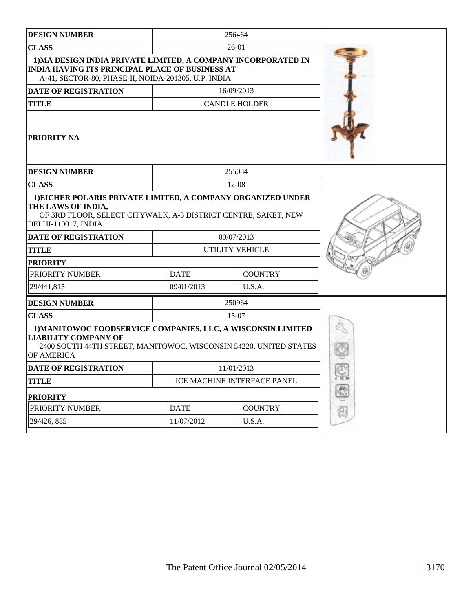| <b>DESIGN NUMBER</b>                                                                                                                                                           |             | 256464                      |              |
|--------------------------------------------------------------------------------------------------------------------------------------------------------------------------------|-------------|-----------------------------|--------------|
| <b>CLASS</b>                                                                                                                                                                   |             | $26-01$                     |              |
| 1) MA DESIGN INDIA PRIVATE LIMITED, A COMPANY INCORPORATED IN<br><b>INDIA HAVING ITS PRINCIPAL PLACE OF BUSINESS AT</b><br>A-41, SECTOR-80, PHASE-II, NOIDA-201305, U.P. INDIA |             |                             |              |
| DATE OF REGISTRATION                                                                                                                                                           |             | 16/09/2013                  |              |
| <b>TITLE</b>                                                                                                                                                                   |             | <b>CANDLE HOLDER</b>        |              |
| PRIORITY NA                                                                                                                                                                    |             |                             |              |
| <b>DESIGN NUMBER</b>                                                                                                                                                           |             | 255084                      |              |
| <b>CLASS</b>                                                                                                                                                                   |             | $12 - 08$                   |              |
| 1) EICHER POLARIS PRIVATE LIMITED, A COMPANY ORGANIZED UNDER<br>THE LAWS OF INDIA,<br>OF 3RD FLOOR, SELECT CITYWALK, A-3 DISTRICT CENTRE, SAKET, NEW<br>DELHI-110017, INDIA    |             |                             |              |
| <b>DATE OF REGISTRATION</b>                                                                                                                                                    |             | 09/07/2013                  |              |
| <b>TITLE</b>                                                                                                                                                                   |             | UTILITY VEHICLE             |              |
| <b>PRIORITY</b>                                                                                                                                                                |             |                             |              |
| PRIORITY NUMBER                                                                                                                                                                | <b>DATE</b> | <b>COUNTRY</b>              |              |
| 29/441,815                                                                                                                                                                     | 09/01/2013  | U.S.A.                      |              |
| <b>DESIGN NUMBER</b>                                                                                                                                                           |             | 250964                      |              |
| <b>CLASS</b>                                                                                                                                                                   |             | 15-07                       |              |
| 1) MANITOWOC FOODSERVICE COMPANIES, LLC, A WISCONSIN LIMITED<br><b>LIABILITY COMPANY OF</b><br>2400 SOUTH 44TH STREET, MANITOWOC, WISCONSIN 54220, UNITED STATES<br>OF AMERICA |             |                             | Q            |
| <b>DATE OF REGISTRATION</b>                                                                                                                                                    |             | 11/01/2013                  |              |
| <b>TITLE</b>                                                                                                                                                                   |             | ICE MACHINE INTERFACE PANEL | P.           |
| <b>PRIORITY</b>                                                                                                                                                                |             |                             | $\mathbb{S}$ |
| PRIORITY NUMBER                                                                                                                                                                | <b>DATE</b> | <b>COUNTRY</b>              | 0            |
| 29/426, 885                                                                                                                                                                    | 11/07/2012  | U.S.A.                      |              |
|                                                                                                                                                                                |             |                             |              |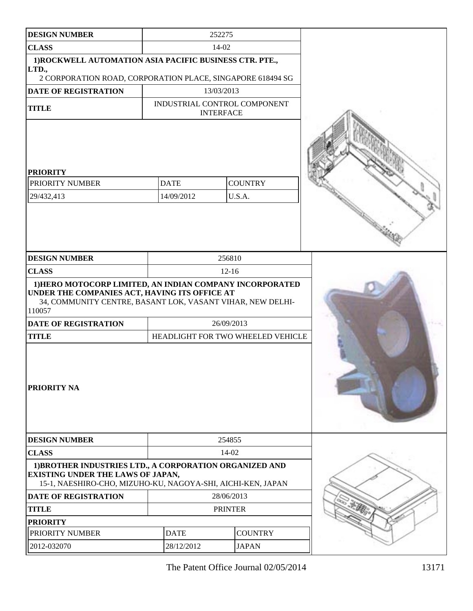| <b>DESIGN NUMBER</b>                                                                                                                                               | 252275     |                                   |                              |  |
|--------------------------------------------------------------------------------------------------------------------------------------------------------------------|------------|-----------------------------------|------------------------------|--|
| <b>CLASS</b>                                                                                                                                                       | 14-02      |                                   |                              |  |
| 1) ROCKWELL AUTOMATION ASIA PACIFIC BUSINESS CTR. PTE.,<br>LTD.,                                                                                                   |            |                                   |                              |  |
| 2 CORPORATION ROAD, CORPORATION PLACE, SINGAPORE 618494 SG                                                                                                         |            |                                   |                              |  |
| DATE OF REGISTRATION                                                                                                                                               |            | 13/03/2013                        |                              |  |
| <b>TITLE</b>                                                                                                                                                       |            | <b>INTERFACE</b>                  | INDUSTRIAL CONTROL COMPONENT |  |
| <b>PRIORITY</b><br>PRIORITY NUMBER<br>29/432,413                                                                                                                   |            | <b>DATE</b><br>14/09/2012         | <b>COUNTRY</b><br>U.S.A.     |  |
| <b>DESIGN NUMBER</b><br><b>CLASS</b>                                                                                                                               |            |                                   | 256810<br>$12 - 16$          |  |
| 1) HERO MOTOCORP LIMITED, AN INDIAN COMPANY INCORPORATED                                                                                                           |            |                                   |                              |  |
| UNDER THE COMPANIES ACT, HAVING ITS OFFICE AT<br>34, COMMUNITY CENTRE, BASANT LOK, VASANT VIHAR, NEW DELHI-<br>110057                                              |            |                                   |                              |  |
| <b>DATE OF REGISTRATION</b>                                                                                                                                        |            | 26/09/2013                        |                              |  |
| <b>TITLE</b>                                                                                                                                                       |            | HEADLIGHT FOR TWO WHEELED VEHICLE |                              |  |
| PRIORITY NA                                                                                                                                                        |            |                                   |                              |  |
| <b>DESIGN NUMBER</b>                                                                                                                                               |            |                                   | 254855                       |  |
| <b>CLASS</b>                                                                                                                                                       | 14-02      |                                   |                              |  |
| 1) BROTHER INDUSTRIES LTD., A CORPORATION ORGANIZED AND<br><b>EXISTING UNDER THE LAWS OF JAPAN,</b><br>15-1, NAESHIRO-CHO, MIZUHO-KU, NAGOYA-SHI, AICHI-KEN, JAPAN |            |                                   |                              |  |
| <b>DATE OF REGISTRATION</b>                                                                                                                                        | 28/06/2013 |                                   |                              |  |
| <b>TITLE</b>                                                                                                                                                       |            | <b>PRINTER</b>                    |                              |  |
| <b>PRIORITY</b>                                                                                                                                                    |            |                                   |                              |  |
| PRIORITY NUMBER                                                                                                                                                    |            | <b>DATE</b>                       | <b>COUNTRY</b>               |  |
| 2012-032070                                                                                                                                                        |            | 28/12/2012                        | <b>JAPAN</b>                 |  |
|                                                                                                                                                                    |            |                                   |                              |  |

The Patent Office Journal 02/05/2014 13171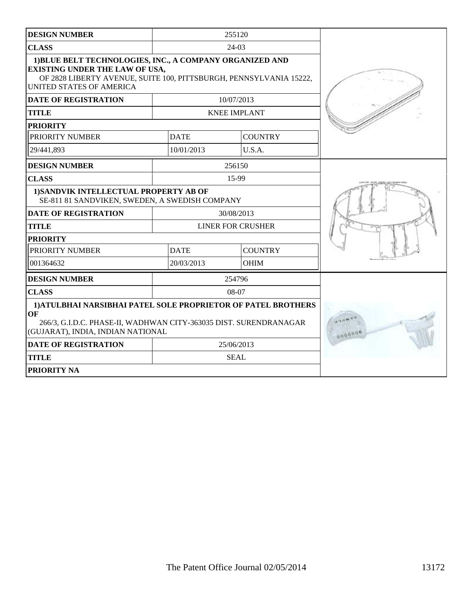| <b>DESIGN NUMBER</b>                                                                                                                                                                                |             | 255120                   |  |
|-----------------------------------------------------------------------------------------------------------------------------------------------------------------------------------------------------|-------------|--------------------------|--|
| <b>CLASS</b>                                                                                                                                                                                        |             | 24-03                    |  |
| 1) BLUE BELT TECHNOLOGIES, INC., A COMPANY ORGANIZED AND<br><b>EXISTING UNDER THE LAW OF USA,</b><br>OF 2828 LIBERTY AVENUE, SUITE 100, PITTSBURGH, PENNSYLVANIA 15222,<br>UNITED STATES OF AMERICA |             |                          |  |
| <b>DATE OF REGISTRATION</b>                                                                                                                                                                         |             | 10/07/2013               |  |
| TITLE                                                                                                                                                                                               |             | <b>KNEE IMPLANT</b>      |  |
| <b>PRIORITY</b>                                                                                                                                                                                     |             |                          |  |
| PRIORITY NUMBER                                                                                                                                                                                     | <b>DATE</b> | <b>COUNTRY</b>           |  |
| 29/441,893                                                                                                                                                                                          | 10/01/2013  | U.S.A.                   |  |
| <b>DESIGN NUMBER</b>                                                                                                                                                                                |             | 256150                   |  |
| <b>CLASS</b>                                                                                                                                                                                        |             | 15-99                    |  |
| 1) SANDVIK INTELLECTUAL PROPERTY AB OF<br>SE-811 81 SANDVIKEN, SWEDEN, A SWEDISH COMPANY                                                                                                            |             |                          |  |
| <b>DATE OF REGISTRATION</b>                                                                                                                                                                         |             | 30/08/2013               |  |
| <b>TITLE</b>                                                                                                                                                                                        |             | <b>LINER FOR CRUSHER</b> |  |
| <b>PRIORITY</b>                                                                                                                                                                                     |             |                          |  |
| PRIORITY NUMBER                                                                                                                                                                                     | <b>DATE</b> | <b>COUNTRY</b>           |  |
| 001364632                                                                                                                                                                                           | 20/03/2013  | <b>OHIM</b>              |  |
| <b>DESIGN NUMBER</b>                                                                                                                                                                                |             | 254796                   |  |
| <b>CLASS</b>                                                                                                                                                                                        |             | $08-07$                  |  |
| 1) ATULBHAI NARSIBHAI PATEL SOLE PROPRIETOR OF PATEL BROTHERS<br>OF<br>266/3, G.I.D.C. PHASE-II, WADHWAN CITY-363035 DIST. SURENDRANAGAR<br>(GUJARAT), INDIA, INDIAN NATIONAL                       | 000000      |                          |  |
| <b>DATE OF REGISTRATION</b>                                                                                                                                                                         |             | 25/06/2013               |  |
| <b>TITLE</b>                                                                                                                                                                                        |             | <b>SEAL</b>              |  |
| <b>PRIORITY NA</b>                                                                                                                                                                                  |             |                          |  |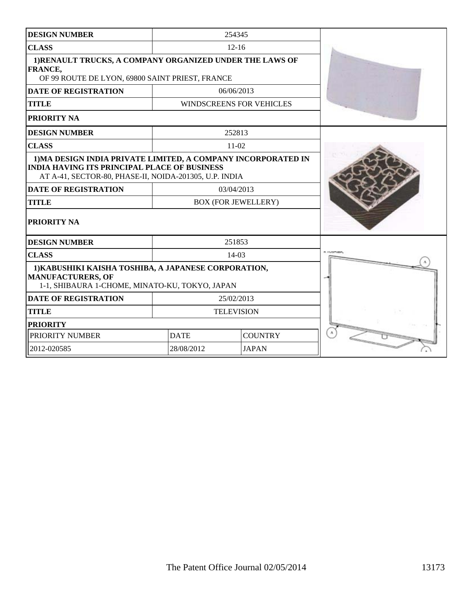| <b>DESIGN NUMBER</b>                                                                                                                                                           |             | 254345                          |  |
|--------------------------------------------------------------------------------------------------------------------------------------------------------------------------------|-------------|---------------------------------|--|
| <b>CLASS</b>                                                                                                                                                                   |             | $12 - 16$                       |  |
| 1) RENAULT TRUCKS, A COMPANY ORGANIZED UNDER THE LAWS OF<br><b>FRANCE,</b><br>OF 99 ROUTE DE LYON, 69800 SAINT PRIEST, FRANCE                                                  |             |                                 |  |
| <b>DATE OF REGISTRATION</b>                                                                                                                                                    |             | 06/06/2013                      |  |
| <b>TITLE</b>                                                                                                                                                                   |             | <b>WINDSCREENS FOR VEHICLES</b> |  |
| PRIORITY NA                                                                                                                                                                    |             |                                 |  |
| <b>DESIGN NUMBER</b>                                                                                                                                                           |             | 252813                          |  |
| <b>CLASS</b>                                                                                                                                                                   |             | $11-02$                         |  |
| 1) MA DESIGN INDIA PRIVATE LIMITED, A COMPANY INCORPORATED IN<br><b>INDIA HAVING ITS PRINCIPAL PLACE OF BUSINESS</b><br>AT A-41, SECTOR-80, PHASE-II, NOIDA-201305, U.P. INDIA |             |                                 |  |
| <b>DATE OF REGISTRATION</b>                                                                                                                                                    |             | 03/04/2013                      |  |
| <b>TITLE</b>                                                                                                                                                                   |             | <b>BOX (FOR JEWELLERY)</b>      |  |
| PRIORITY NA                                                                                                                                                                    |             |                                 |  |
| <b>DESIGN NUMBER</b>                                                                                                                                                           |             | 251853                          |  |
| <b>CLASS</b>                                                                                                                                                                   |             | 14-03                           |  |
| 1) KABUSHIKI KAISHA TOSHIBA, A JAPANESE CORPORATION,<br><b>MANUFACTURERS, OF</b><br>1-1, SHIBAURA 1-CHOME, MINATO-KU, TOKYO, JAPAN                                             |             |                                 |  |
| <b>DATE OF REGISTRATION</b>                                                                                                                                                    |             | 25/02/2013                      |  |
| <b>TITLE</b>                                                                                                                                                                   |             | <b>TELEVISION</b>               |  |
| <b>PRIORITY</b>                                                                                                                                                                |             |                                 |  |
| PRIORITY NUMBER                                                                                                                                                                | <b>DATE</b> | <b>COUNTRY</b>                  |  |
| 2012-020585                                                                                                                                                                    | 28/08/2012  | <b>JAPAN</b>                    |  |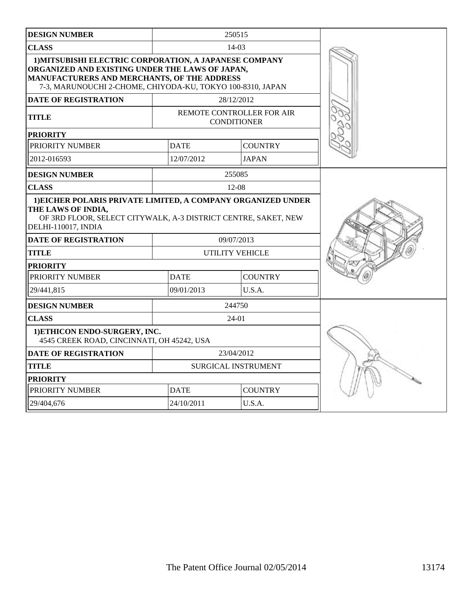| <b>DESIGN NUMBER</b>                                                                                                                                                                                                   |             | 250515                                          |  |
|------------------------------------------------------------------------------------------------------------------------------------------------------------------------------------------------------------------------|-------------|-------------------------------------------------|--|
| <b>CLASS</b>                                                                                                                                                                                                           |             | $14-03$                                         |  |
| 1) MITSUBISHI ELECTRIC CORPORATION, A JAPANESE COMPANY<br>ORGANIZED AND EXISTING UNDER THE LAWS OF JAPAN,<br>MANUFACTURERS AND MERCHANTS, OF THE ADDRESS<br>7-3, MARUNOUCHI 2-CHOME, CHIYODA-KU, TOKYO 100-8310, JAPAN |             |                                                 |  |
| <b>DATE OF REGISTRATION</b>                                                                                                                                                                                            |             | 28/12/2012                                      |  |
| <b>TITLE</b>                                                                                                                                                                                                           |             | REMOTE CONTROLLER FOR AIR<br><b>CONDITIONER</b> |  |
| <b>PRIORITY</b>                                                                                                                                                                                                        |             |                                                 |  |
| PRIORITY NUMBER                                                                                                                                                                                                        | <b>DATE</b> | <b>COUNTRY</b>                                  |  |
| 2012-016593                                                                                                                                                                                                            | 12/07/2012  | <b>JAPAN</b>                                    |  |
| <b>DESIGN NUMBER</b>                                                                                                                                                                                                   |             | 255085                                          |  |
| <b>CLASS</b>                                                                                                                                                                                                           |             | 12-08                                           |  |
| 1) EICHER POLARIS PRIVATE LIMITED, A COMPANY ORGANIZED UNDER<br>THE LAWS OF INDIA,<br>OF 3RD FLOOR, SELECT CITYWALK, A-3 DISTRICT CENTRE, SAKET, NEW<br>DELHI-110017, INDIA                                            |             |                                                 |  |
| <b>DATE OF REGISTRATION</b>                                                                                                                                                                                            |             | 09/07/2013                                      |  |
| <b>TITLE</b>                                                                                                                                                                                                           |             | <b>UTILITY VEHICLE</b>                          |  |
| <b>PRIORITY</b>                                                                                                                                                                                                        |             |                                                 |  |
| PRIORITY NUMBER                                                                                                                                                                                                        | <b>DATE</b> | <b>COUNTRY</b>                                  |  |
| 29/441,815                                                                                                                                                                                                             | 09/01/2013  | U.S.A.                                          |  |
| <b>DESIGN NUMBER</b>                                                                                                                                                                                                   |             | 244750                                          |  |
| <b>CLASS</b>                                                                                                                                                                                                           |             | $24-01$                                         |  |
| 1) ETHICON ENDO-SURGERY, INC.<br>4545 CREEK ROAD, CINCINNATI, OH 45242, USA                                                                                                                                            |             |                                                 |  |
| <b>DATE OF REGISTRATION</b>                                                                                                                                                                                            |             | 23/04/2012                                      |  |
| <b>TITLE</b>                                                                                                                                                                                                           |             | SURGICAL INSTRUMENT                             |  |
| <b>PRIORITY</b>                                                                                                                                                                                                        |             |                                                 |  |
| PRIORITY NUMBER                                                                                                                                                                                                        | <b>DATE</b> | <b>COUNTRY</b>                                  |  |
| 29/404,676                                                                                                                                                                                                             | 24/10/2011  | U.S.A.                                          |  |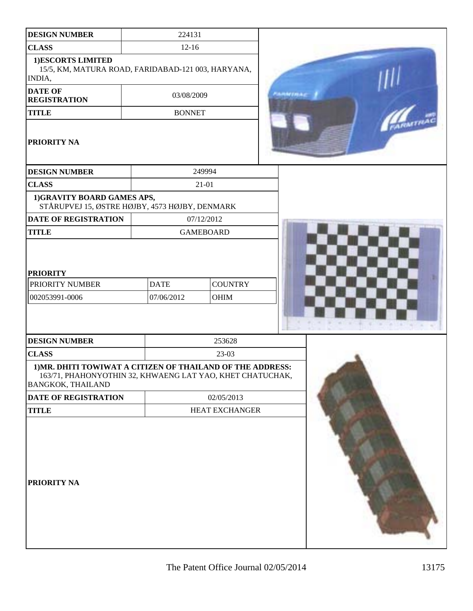| <b>DESIGN NUMBER</b>                                                                                                                         | 224131                    |                        |                  |  |
|----------------------------------------------------------------------------------------------------------------------------------------------|---------------------------|------------------------|------------------|--|
| <b>CLASS</b>                                                                                                                                 |                           | $12 - 16$              |                  |  |
| 1)ESCORTS LIMITED<br>15/5, KM, MATURA ROAD, FARIDABAD-121 003, HARYANA,<br>INDIA,                                                            |                           |                        |                  |  |
| <b>DATE OF</b><br><b>REGISTRATION</b>                                                                                                        | 03/08/2009                |                        | والمتوازنة المنا |  |
| <b>TITLE</b>                                                                                                                                 | <b>BONNET</b>             |                        |                  |  |
| PRIORITY NA                                                                                                                                  |                           |                        |                  |  |
| <b>DESIGN NUMBER</b>                                                                                                                         |                           | 249994                 |                  |  |
| <b>CLASS</b>                                                                                                                                 |                           | 21-01                  |                  |  |
| 1)GRAVITY BOARD GAMES APS,<br>STÅRUPVEJ 15, ØSTRE HØJBY, 4573 HØJBY, DENMARK                                                                 |                           |                        |                  |  |
| DATE OF REGISTRATION                                                                                                                         |                           | 07/12/2012             |                  |  |
| <b>TITLE</b>                                                                                                                                 |                           | <b>GAMEBOARD</b>       |                  |  |
| <b>PRIORITY</b><br>PRIORITY NUMBER<br>002053991-0006                                                                                         | <b>DATE</b><br>07/06/2012 | <b>COUNTRY</b><br>OHIM |                  |  |
| <b>DESIGN NUMBER</b>                                                                                                                         |                           | 253628                 |                  |  |
| <b>CLASS</b>                                                                                                                                 |                           |                        |                  |  |
| 1) MR. DHITI TOWIWAT A CITIZEN OF THAILAND OF THE ADDRESS:<br>163/71, PHAHONYOTHIN 32, KHWAENG LAT YAO, KHET CHATUCHAK,<br>BANGKOK, THAILAND |                           |                        |                  |  |
| DATE OF REGISTRATION                                                                                                                         |                           | 02/05/2013             |                  |  |
| <b>TITLE</b>                                                                                                                                 |                           | HEAT EXCHANGER         |                  |  |
| PRIORITY NA                                                                                                                                  |                           |                        |                  |  |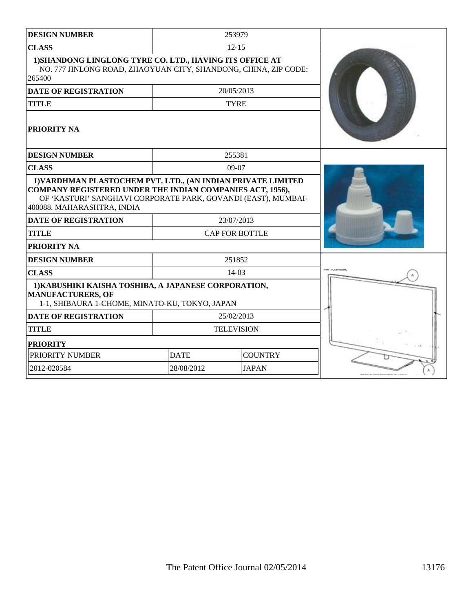| <b>DESIGN NUMBER</b>                                                                                                                                                                                                            |                       | 253979            |                     |
|---------------------------------------------------------------------------------------------------------------------------------------------------------------------------------------------------------------------------------|-----------------------|-------------------|---------------------|
| <b>CLASS</b>                                                                                                                                                                                                                    |                       | $12 - 15$         |                     |
| 1) SHANDONG LINGLONG TYRE CO. LTD., HAVING ITS OFFICE AT<br>NO. 777 JINLONG ROAD, ZHAOYUAN CITY, SHANDONG, CHINA, ZIP CODE:<br>265400                                                                                           |                       |                   |                     |
| <b>DATE OF REGISTRATION</b>                                                                                                                                                                                                     |                       | 20/05/2013        |                     |
| <b>TITLE</b>                                                                                                                                                                                                                    |                       | <b>TYRE</b>       |                     |
| PRIORITY NA                                                                                                                                                                                                                     |                       |                   |                     |
| <b>DESIGN NUMBER</b>                                                                                                                                                                                                            |                       | 255381            |                     |
| <b>CLASS</b>                                                                                                                                                                                                                    |                       | $09-07$           |                     |
| 1) VARDHMAN PLASTOCHEM PVT. LTD., (AN INDIAN PRIVATE LIMITED<br><b>COMPANY REGISTERED UNDER THE INDIAN COMPANIES ACT, 1956),</b><br>OF 'KASTURI' SANGHAVI CORPORATE PARK, GOVANDI (EAST), MUMBAI-<br>400088. MAHARASHTRA, INDIA |                       |                   |                     |
| <b>DATE OF REGISTRATION</b>                                                                                                                                                                                                     |                       | 23/07/2013        |                     |
| <b>TITLE</b>                                                                                                                                                                                                                    | <b>CAP FOR BOTTLE</b> |                   |                     |
| PRIORITY NA                                                                                                                                                                                                                     |                       |                   |                     |
| <b>DESIGN NUMBER</b>                                                                                                                                                                                                            |                       | 251852            |                     |
| <b>CLASS</b>                                                                                                                                                                                                                    |                       | $14-03$           | <b>TOM ENFORCEM</b> |
| 1) KABUSHIKI KAISHA TOSHIBA, A JAPANESE CORPORATION,<br><b>MANUFACTURERS, OF</b><br>1-1, SHIBAURA 1-CHOME, MINATO-KU, TOKYO, JAPAN                                                                                              |                       |                   |                     |
| <b>DATE OF REGISTRATION</b>                                                                                                                                                                                                     |                       | 25/02/2013        |                     |
| <b>TITLE</b>                                                                                                                                                                                                                    |                       | <b>TELEVISION</b> |                     |
| <b>PRIORITY</b>                                                                                                                                                                                                                 |                       |                   |                     |
| PRIORITY NUMBER                                                                                                                                                                                                                 | <b>DATE</b>           | <b>COUNTRY</b>    |                     |
| 2012-020584                                                                                                                                                                                                                     | 28/08/2012            | <b>JAPAN</b>      |                     |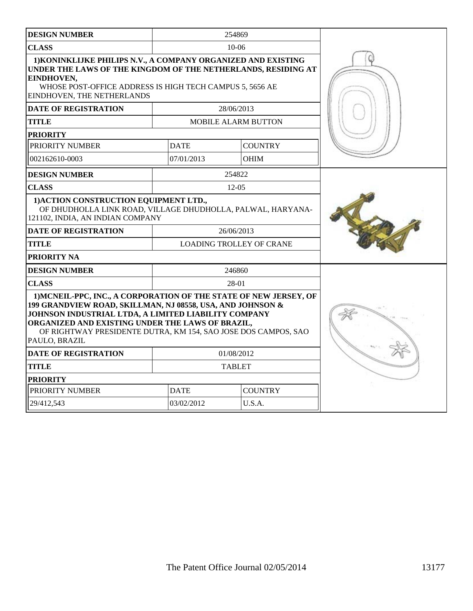| <b>DESIGN NUMBER</b>                                                                                                                                                                                                                                                                                                           |             | 254869                          |  |
|--------------------------------------------------------------------------------------------------------------------------------------------------------------------------------------------------------------------------------------------------------------------------------------------------------------------------------|-------------|---------------------------------|--|
| <b>CLASS</b>                                                                                                                                                                                                                                                                                                                   |             | 10-06                           |  |
| 1) KONINKLIJKE PHILIPS N.V., A COMPANY ORGANIZED AND EXISTING<br>UNDER THE LAWS OF THE KINGDOM OF THE NETHERLANDS, RESIDING AT<br>EINDHOVEN,<br>WHOSE POST-OFFICE ADDRESS IS HIGH TECH CAMPUS 5, 5656 AE<br>EINDHOVEN, THE NETHERLANDS                                                                                         |             |                                 |  |
| <b>DATE OF REGISTRATION</b>                                                                                                                                                                                                                                                                                                    |             | 28/06/2013                      |  |
| <b>TITLE</b>                                                                                                                                                                                                                                                                                                                   |             | <b>MOBILE ALARM BUTTON</b>      |  |
| <b>PRIORITY</b>                                                                                                                                                                                                                                                                                                                |             |                                 |  |
| PRIORITY NUMBER                                                                                                                                                                                                                                                                                                                | <b>DATE</b> | <b>COUNTRY</b>                  |  |
| 002162610-0003                                                                                                                                                                                                                                                                                                                 | 07/01/2013  | <b>OHIM</b>                     |  |
| <b>DESIGN NUMBER</b>                                                                                                                                                                                                                                                                                                           |             | 254822                          |  |
| <b>CLASS</b>                                                                                                                                                                                                                                                                                                                   |             | $12 - 05$                       |  |
| 1) ACTION CONSTRUCTION EQUIPMENT LTD.,<br>OF DHUDHOLLA LINK ROAD, VILLAGE DHUDHOLLA, PALWAL, HARYANA-<br>121102, INDIA, AN INDIAN COMPANY                                                                                                                                                                                      |             |                                 |  |
| <b>DATE OF REGISTRATION</b>                                                                                                                                                                                                                                                                                                    |             | 26/06/2013                      |  |
| <b>TITLE</b>                                                                                                                                                                                                                                                                                                                   |             | <b>LOADING TROLLEY OF CRANE</b> |  |
| PRIORITY NA                                                                                                                                                                                                                                                                                                                    |             |                                 |  |
| <b>DESIGN NUMBER</b>                                                                                                                                                                                                                                                                                                           |             | 246860                          |  |
| <b>CLASS</b>                                                                                                                                                                                                                                                                                                                   |             | 28-01                           |  |
| 1) MCNEIL-PPC, INC., A CORPORATION OF THE STATE OF NEW JERSEY, OF<br>199 GRANDVIEW ROAD, SKILLMAN, NJ 08558, USA, AND JOHNSON &<br>JOHNSON INDUSTRIAL LTDA, A LIMITED LIABILITY COMPANY<br>ORGANIZED AND EXISTING UNDER THE LAWS OF BRAZIL,<br>OF RIGHTWAY PRESIDENTE DUTRA, KM 154, SAO JOSE DOS CAMPOS, SAO<br>PAULO, BRAZIL |             |                                 |  |
| <b>DATE OF REGISTRATION</b>                                                                                                                                                                                                                                                                                                    |             | 01/08/2012                      |  |
| <b>TITLE</b>                                                                                                                                                                                                                                                                                                                   |             | <b>TABLET</b>                   |  |
| <b>PRIORITY</b>                                                                                                                                                                                                                                                                                                                |             |                                 |  |
| PRIORITY NUMBER                                                                                                                                                                                                                                                                                                                | <b>DATE</b> | <b>COUNTRY</b>                  |  |
| 29/412,543                                                                                                                                                                                                                                                                                                                     | 03/02/2012  | U.S.A.                          |  |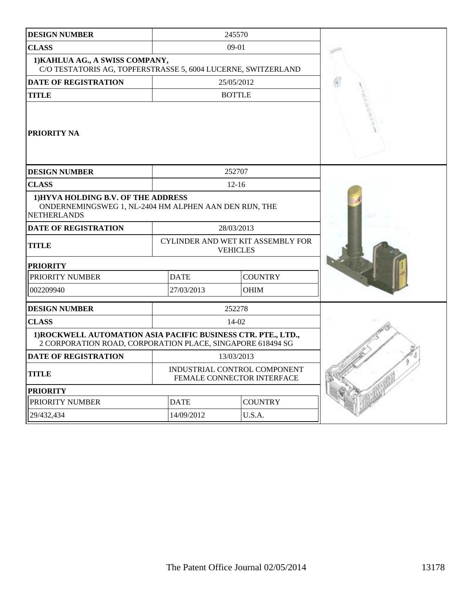| <b>DESIGN NUMBER</b>                                                                                                        |             | 245570                                                     |  |
|-----------------------------------------------------------------------------------------------------------------------------|-------------|------------------------------------------------------------|--|
| <b>CLASS</b>                                                                                                                |             | $09-01$                                                    |  |
| 1) KAHLUA AG., A SWISS COMPANY,<br>C/O TESTATORIS AG, TOPFERSTRASSE 5, 6004 LUCERNE, SWITZERLAND                            |             |                                                            |  |
| <b>DATE OF REGISTRATION</b>                                                                                                 |             | 25/05/2012                                                 |  |
| <b>TITLE</b>                                                                                                                |             | <b>BOTTLE</b>                                              |  |
| PRIORITY NA                                                                                                                 |             |                                                            |  |
| <b>DESIGN NUMBER</b>                                                                                                        |             | 252707                                                     |  |
| <b>CLASS</b>                                                                                                                |             | $12 - 16$                                                  |  |
| 1) HYVA HOLDING B.V. OF THE ADDRESS<br>ONDERNEMINGSWEG 1, NL-2404 HM ALPHEN AAN DEN RIJN, THE<br><b>NETHERLANDS</b>         |             |                                                            |  |
| <b>DATE OF REGISTRATION</b>                                                                                                 |             | 28/03/2013                                                 |  |
| <b>TITLE</b>                                                                                                                |             | CYLINDER AND WET KIT ASSEMBLY FOR<br><b>VEHICLES</b>       |  |
| <b>PRIORITY</b>                                                                                                             |             |                                                            |  |
| PRIORITY NUMBER                                                                                                             | <b>DATE</b> | <b>COUNTRY</b>                                             |  |
| 002209940                                                                                                                   | 27/03/2013  | <b>OHIM</b>                                                |  |
| <b>DESIGN NUMBER</b>                                                                                                        |             | 252278                                                     |  |
| <b>CLASS</b>                                                                                                                |             | 14-02                                                      |  |
| 1) ROCKWELL AUTOMATION ASIA PACIFIC BUSINESS CTR. PTE., LTD.,<br>2 CORPORATION ROAD, CORPORATION PLACE, SINGAPORE 618494 SG |             |                                                            |  |
| <b>DATE OF REGISTRATION</b>                                                                                                 |             | 13/03/2013                                                 |  |
| <b>TITLE</b>                                                                                                                |             | INDUSTRIAL CONTROL COMPONENT<br>FEMALE CONNECTOR INTERFACE |  |
| <b>PRIORITY</b>                                                                                                             |             |                                                            |  |
| PRIORITY NUMBER                                                                                                             | <b>DATE</b> | <b>COUNTRY</b>                                             |  |
| 29/432,434                                                                                                                  | 14/09/2012  | U.S.A.                                                     |  |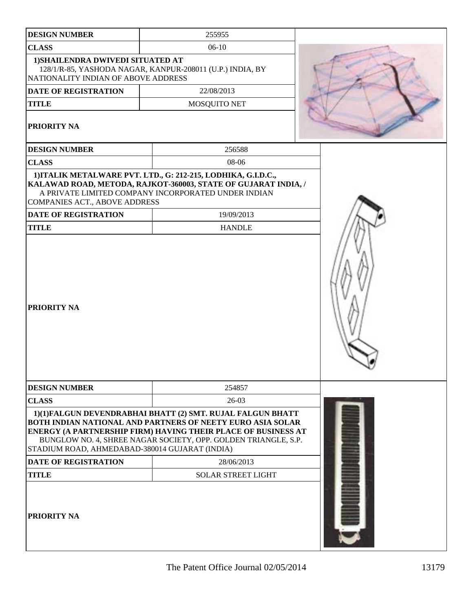| <b>DESIGN NUMBER</b>                                                     | 255955                                                                                                                                                                                                                                                      |  |
|--------------------------------------------------------------------------|-------------------------------------------------------------------------------------------------------------------------------------------------------------------------------------------------------------------------------------------------------------|--|
| <b>CLASS</b>                                                             | $06-10$                                                                                                                                                                                                                                                     |  |
| 1) SHAILENDRA DWIVEDI SITUATED AT<br>NATIONALITY INDIAN OF ABOVE ADDRESS | 128/1/R-85, YASHODA NAGAR, KANPUR-208011 (U.P.) INDIA, BY                                                                                                                                                                                                   |  |
| DATE OF REGISTRATION                                                     | 22/08/2013                                                                                                                                                                                                                                                  |  |
| <b>TITLE</b>                                                             | MOSQUITO NET                                                                                                                                                                                                                                                |  |
| PRIORITY NA                                                              |                                                                                                                                                                                                                                                             |  |
| <b>DESIGN NUMBER</b>                                                     | 256588                                                                                                                                                                                                                                                      |  |
| <b>CLASS</b>                                                             | 08-06                                                                                                                                                                                                                                                       |  |
| <b>COMPANIES ACT., ABOVE ADDRESS</b><br><b>DATE OF REGISTRATION</b>      | 1) ITALIK METALWARE PVT. LTD., G: 212-215, LODHIKA, G.I.D.C.,<br>KALAWAD ROAD, METODA, RAJKOT-360003, STATE OF GUJARAT INDIA, /<br>A PRIVATE LIMITED COMPANY INCORPORATED UNDER INDIAN<br>19/09/2013                                                        |  |
| <b>TITLE</b>                                                             | <b>HANDLE</b>                                                                                                                                                                                                                                               |  |
| <b>PRIORITY NA</b>                                                       |                                                                                                                                                                                                                                                             |  |
| <b>DESIGN NUMBER</b>                                                     | 254857                                                                                                                                                                                                                                                      |  |
| <b>CLASS</b>                                                             | $26-03$                                                                                                                                                                                                                                                     |  |
| STADIUM ROAD, AHMEDABAD-380014 GUJARAT (INDIA)                           | 1)(1)FALGUN DEVENDRABHAI BHATT (2) SMT. RUJAL FALGUN BHATT<br>BOTH INDIAN NATIONAL AND PARTNERS OF NEETY EURO ASIA SOLAR<br>ENERGY (A PARTNERSHIP FIRM) HAVING THEIR PLACE OF BUSINESS AT<br>BUNGLOW NO. 4, SHREE NAGAR SOCIETY, OPP. GOLDEN TRIANGLE, S.P. |  |
| <b>DATE OF REGISTRATION</b>                                              | 28/06/2013                                                                                                                                                                                                                                                  |  |
| <b>TITLE</b>                                                             | <b>SOLAR STREET LIGHT</b>                                                                                                                                                                                                                                   |  |
| PRIORITY NA                                                              |                                                                                                                                                                                                                                                             |  |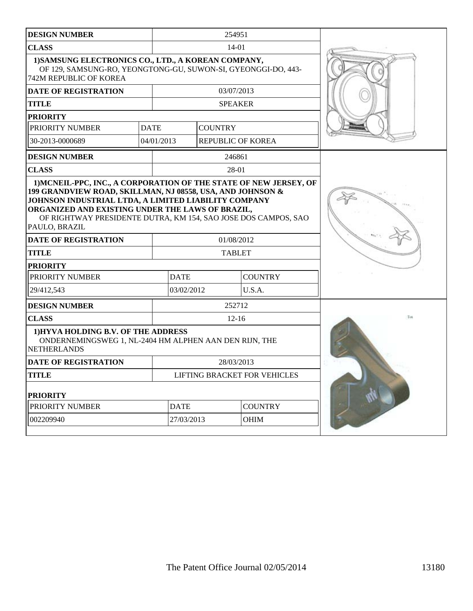| <b>DESIGN NUMBER</b>                                                                                                                                   |                                                                                               |                                                                                                                                                                                                                                                                                          | 254951            |                          |  |
|--------------------------------------------------------------------------------------------------------------------------------------------------------|-----------------------------------------------------------------------------------------------|------------------------------------------------------------------------------------------------------------------------------------------------------------------------------------------------------------------------------------------------------------------------------------------|-------------------|--------------------------|--|
| <b>CLASS</b>                                                                                                                                           |                                                                                               | 14-01                                                                                                                                                                                                                                                                                    |                   |                          |  |
| 1) SAMSUNG ELECTRONICS CO., LTD., A KOREAN COMPANY,<br>OF 129, SAMSUNG-RO, YEONGTONG-GU, SUWON-SI, GYEONGGI-DO, 443-<br><b>742M REPUBLIC OF KOREA</b>  |                                                                                               |                                                                                                                                                                                                                                                                                          |                   |                          |  |
| <b>DATE OF REGISTRATION</b>                                                                                                                            |                                                                                               |                                                                                                                                                                                                                                                                                          | 03/07/2013        |                          |  |
| <b>TITLE</b>                                                                                                                                           |                                                                                               |                                                                                                                                                                                                                                                                                          | <b>SPEAKER</b>    |                          |  |
| <b>PRIORITY</b>                                                                                                                                        |                                                                                               |                                                                                                                                                                                                                                                                                          |                   |                          |  |
| PRIORITY NUMBER                                                                                                                                        | <b>DATE</b>                                                                                   |                                                                                                                                                                                                                                                                                          | <b>COUNTRY</b>    |                          |  |
| 30-2013-0000689                                                                                                                                        | 04/01/2013                                                                                    |                                                                                                                                                                                                                                                                                          | REPUBLIC OF KOREA |                          |  |
| <b>DESIGN NUMBER</b>                                                                                                                                   |                                                                                               |                                                                                                                                                                                                                                                                                          | 246861            |                          |  |
| <b>CLASS</b>                                                                                                                                           |                                                                                               |                                                                                                                                                                                                                                                                                          | 28-01             |                          |  |
| ORGANIZED AND EXISTING UNDER THE LAWS OF BRAZIL,<br>PAULO, BRAZIL<br><b>DATE OF REGISTRATION</b><br><b>TITLE</b><br><b>PRIORITY</b><br>PRIORITY NUMBER |                                                                                               | 1) MCNEIL-PPC, INC., A CORPORATION OF THE STATE OF NEW JERSEY, OF<br>199 GRANDVIEW ROAD, SKILLMAN, NJ 08558, USA, AND JOHNSON &<br>JOHNSON INDUSTRIAL LTDA, A LIMITED LIABILITY COMPANY<br>OF RIGHTWAY PRESIDENTE DUTRA, KM 154, SAO JOSE DOS CAMPOS, SAO<br>01/08/2012<br><b>TABLET</b> |                   |                          |  |
| 29/412,543                                                                                                                                             |                                                                                               | <b>DATE</b><br>03/02/2012                                                                                                                                                                                                                                                                |                   | <b>COUNTRY</b><br>U.S.A. |  |
| <b>DESIGN NUMBER</b>                                                                                                                                   |                                                                                               |                                                                                                                                                                                                                                                                                          | 252712            |                          |  |
| <b>CLASS</b>                                                                                                                                           |                                                                                               |                                                                                                                                                                                                                                                                                          | $12 - 16$         |                          |  |
| NETHERLANDS                                                                                                                                            | 1) HYVA HOLDING B.V. OF THE ADDRESS<br>ONDERNEMINGSWEG 1, NL-2404 HM ALPHEN AAN DEN RIJN, THE |                                                                                                                                                                                                                                                                                          |                   |                          |  |
| <b>DATE OF REGISTRATION</b>                                                                                                                            |                                                                                               | 28/03/2013                                                                                                                                                                                                                                                                               |                   |                          |  |
| <b>TITLE</b>                                                                                                                                           |                                                                                               | <b>LIFTING BRACKET FOR VEHICLES</b>                                                                                                                                                                                                                                                      |                   |                          |  |
| <b>PRIORITY</b>                                                                                                                                        |                                                                                               |                                                                                                                                                                                                                                                                                          |                   |                          |  |
| PRIORITY NUMBER                                                                                                                                        |                                                                                               | <b>DATE</b>                                                                                                                                                                                                                                                                              |                   | <b>COUNTRY</b>           |  |
| 002209940                                                                                                                                              |                                                                                               | 27/03/2013                                                                                                                                                                                                                                                                               |                   | OHIM                     |  |
|                                                                                                                                                        |                                                                                               |                                                                                                                                                                                                                                                                                          |                   |                          |  |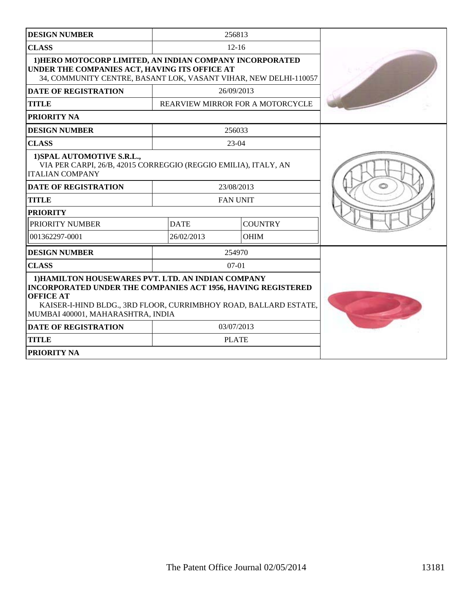|                                                                                                                                                                                                                                                 | $12 - 16$      |                                                                                                                                             |  |  |
|-------------------------------------------------------------------------------------------------------------------------------------------------------------------------------------------------------------------------------------------------|----------------|---------------------------------------------------------------------------------------------------------------------------------------------|--|--|
| 1) HERO MOTOCORP LIMITED, AN INDIAN COMPANY INCORPORATED<br>UNDER THE COMPANIES ACT, HAVING ITS OFFICE AT<br>34, COMMUNITY CENTRE, BASANT LOK, VASANT VIHAR, NEW DELHI-110057                                                                   |                |                                                                                                                                             |  |  |
|                                                                                                                                                                                                                                                 |                |                                                                                                                                             |  |  |
|                                                                                                                                                                                                                                                 |                |                                                                                                                                             |  |  |
|                                                                                                                                                                                                                                                 |                |                                                                                                                                             |  |  |
|                                                                                                                                                                                                                                                 |                |                                                                                                                                             |  |  |
|                                                                                                                                                                                                                                                 | $23-04$        |                                                                                                                                             |  |  |
| 1) SPAL AUTOMOTIVE S.R.L.,<br>VIA PER CARPI, 26/B, 42015 CORREGGIO (REGGIO EMILIA), ITALY, AN<br><b>ITALIAN COMPANY</b>                                                                                                                         |                |                                                                                                                                             |  |  |
|                                                                                                                                                                                                                                                 |                |                                                                                                                                             |  |  |
|                                                                                                                                                                                                                                                 |                |                                                                                                                                             |  |  |
| <b>PRIORITY</b>                                                                                                                                                                                                                                 |                |                                                                                                                                             |  |  |
| <b>DATE</b>                                                                                                                                                                                                                                     | <b>COUNTRY</b> |                                                                                                                                             |  |  |
| 26/02/2013                                                                                                                                                                                                                                      | <b>OHIM</b>    |                                                                                                                                             |  |  |
|                                                                                                                                                                                                                                                 |                |                                                                                                                                             |  |  |
|                                                                                                                                                                                                                                                 | $07-01$        |                                                                                                                                             |  |  |
| 1) HAMILTON HOUSEWARES PVT. LTD. AN INDIAN COMPANY<br>INCORPORATED UNDER THE COMPANIES ACT 1956, HAVING REGISTERED<br><b>OFFICE AT</b><br>KAISER-I-HIND BLDG., 3RD FLOOR, CURRIMBHOY ROAD, BALLARD ESTATE,<br>MUMBAI 400001, MAHARASHTRA, INDIA |                |                                                                                                                                             |  |  |
|                                                                                                                                                                                                                                                 |                |                                                                                                                                             |  |  |
|                                                                                                                                                                                                                                                 |                |                                                                                                                                             |  |  |
|                                                                                                                                                                                                                                                 |                |                                                                                                                                             |  |  |
|                                                                                                                                                                                                                                                 |                | 256813<br>26/09/2013<br>REARVIEW MIRROR FOR A MOTORCYCLE<br>256033<br>23/08/2013<br><b>FAN UNIT</b><br>254970<br>03/07/2013<br><b>PLATE</b> |  |  |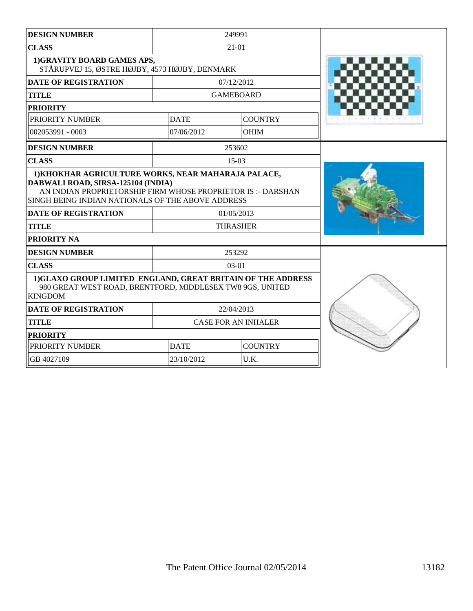| <b>DESIGN NUMBER</b>                                                                                                                                                                                                                                                         |             | 249991                        |  |
|------------------------------------------------------------------------------------------------------------------------------------------------------------------------------------------------------------------------------------------------------------------------------|-------------|-------------------------------|--|
| <b>CLASS</b>                                                                                                                                                                                                                                                                 |             | $21 - 01$                     |  |
| 1) GRAVITY BOARD GAMES APS,<br>STÅRUPVEJ 15, ØSTRE HØJBY, 4573 HØJBY, DENMARK                                                                                                                                                                                                |             |                               |  |
| <b>DATE OF REGISTRATION</b>                                                                                                                                                                                                                                                  |             | 07/12/2012                    |  |
| <b>TITLE</b>                                                                                                                                                                                                                                                                 |             | <b>GAMEBOARD</b>              |  |
| <b>PRIORITY</b>                                                                                                                                                                                                                                                              |             |                               |  |
| PRIORITY NUMBER                                                                                                                                                                                                                                                              | <b>DATE</b> | <b>COUNTRY</b>                |  |
| 002053991 - 0003                                                                                                                                                                                                                                                             | 07/06/2012  | <b>OHIM</b>                   |  |
| <b>DESIGN NUMBER</b>                                                                                                                                                                                                                                                         |             | 253602                        |  |
| <b>CLASS</b>                                                                                                                                                                                                                                                                 |             | $15-03$                       |  |
| 1) KHOKHAR AGRICULTURE WORKS, NEAR MAHARAJA PALACE,<br>DABWALI ROAD, SIRSA-125104 (INDIA)<br>AN INDIAN PROPRIETORSHIP FIRM WHOSE PROPRIETOR IS :- DARSHAN<br>SINGH BEING INDIAN NATIONALS OF THE ABOVE ADDRESS<br><b>DATE OF REGISTRATION</b><br><b>TITLE</b><br>PRIORITY NA |             | 01/05/2013<br><b>THRASHER</b> |  |
| <b>DESIGN NUMBER</b>                                                                                                                                                                                                                                                         |             | 253292                        |  |
| <b>CLASS</b>                                                                                                                                                                                                                                                                 |             | $03 - 01$                     |  |
| 1)GLAXO GROUP LIMITED ENGLAND, GREAT BRITAIN OF THE ADDRESS<br>980 GREAT WEST ROAD, BRENTFORD, MIDDLESEX TW8 9GS, UNITED<br><b>KINGDOM</b>                                                                                                                                   |             |                               |  |
| <b>DATE OF REGISTRATION</b>                                                                                                                                                                                                                                                  |             | 22/04/2013                    |  |
| <b>TITLE</b>                                                                                                                                                                                                                                                                 |             | <b>CASE FOR AN INHALER</b>    |  |
| <b>PRIORITY</b>                                                                                                                                                                                                                                                              |             |                               |  |
| PRIORITY NUMBER                                                                                                                                                                                                                                                              | <b>DATE</b> | <b>COUNTRY</b>                |  |
| GB 4027109                                                                                                                                                                                                                                                                   | 23/10/2012  | U.K.                          |  |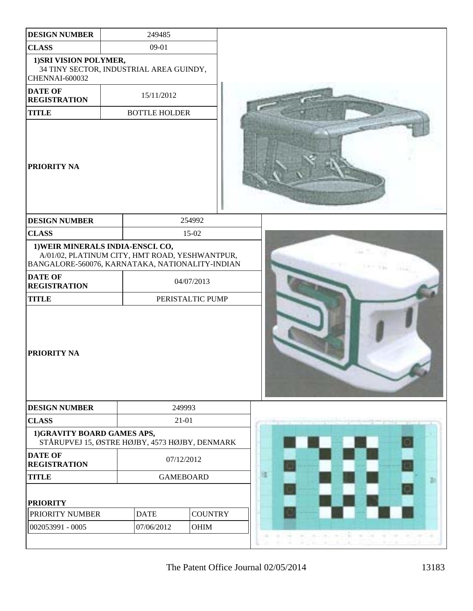| <b>DESIGN NUMBER</b>                                                                                   | 249485                                                                       |                  |                                                            |  |
|--------------------------------------------------------------------------------------------------------|------------------------------------------------------------------------------|------------------|------------------------------------------------------------|--|
| <b>CLASS</b>                                                                                           | $09-01$                                                                      |                  |                                                            |  |
| 1) SRI VISION POLYMER,<br>CHENNAI-600032                                                               | 34 TINY SECTOR, INDUSTRIAL AREA GUINDY,                                      |                  |                                                            |  |
| <b>DATE OF</b><br><b>REGISTRATION</b>                                                                  | 15/11/2012                                                                   |                  |                                                            |  |
| <b>TITLE</b>                                                                                           | <b>BOTTLE HOLDER</b>                                                         |                  |                                                            |  |
| <b>PRIORITY NA</b>                                                                                     |                                                                              |                  |                                                            |  |
| <b>DESIGN NUMBER</b>                                                                                   |                                                                              | 254992           |                                                            |  |
| <b>CLASS</b>                                                                                           |                                                                              | 15-02            |                                                            |  |
| 1) WEIR MINERALS INDIA-ENSCI. CO,<br>BANGALORE-560076, KARNATAKA, NATIONALITY-INDIAN<br><b>DATE OF</b> | A/01/02, PLATINUM CITY, HMT ROAD, YESHWANTPUR,                               |                  |                                                            |  |
| <b>REGISTRATION</b>                                                                                    |                                                                              | 04/07/2013       |                                                            |  |
| <b>TITLE</b>                                                                                           |                                                                              | PERISTALTIC PUMP |                                                            |  |
| <b>PRIORITY NA</b>                                                                                     |                                                                              |                  |                                                            |  |
| <b>DESIGN NUMBER</b>                                                                                   |                                                                              | 249993           |                                                            |  |
| <b>CLASS</b>                                                                                           |                                                                              | 21-01            |                                                            |  |
|                                                                                                        | 1)GRAVITY BOARD GAMES APS,<br>STÅRUPVEJ 15, ØSTRE HØJBY, 4573 HØJBY, DENMARK |                  |                                                            |  |
| <b>DATE OF</b><br><b>REGISTRATION</b>                                                                  |                                                                              | 07/12/2012       |                                                            |  |
| <b>TITLE</b>                                                                                           |                                                                              | <b>GAMEBOARD</b> | 膩<br>æ                                                     |  |
| <b>PRIORITY</b>                                                                                        |                                                                              |                  |                                                            |  |
| PRIORITY NUMBER                                                                                        | <b>DATE</b>                                                                  | <b>COUNTRY</b>   |                                                            |  |
| 002053991 - 0005                                                                                       | 07/06/2012                                                                   | OHIM             | $\sim$<br>÷<br><b>COM</b><br>$\sim$<br>$\mathbb{R}^n$      |  |
|                                                                                                        |                                                                              |                  | <b>SIL</b><br>$\overline{\mathcal{M}}$<br>THE CHARL<br>18. |  |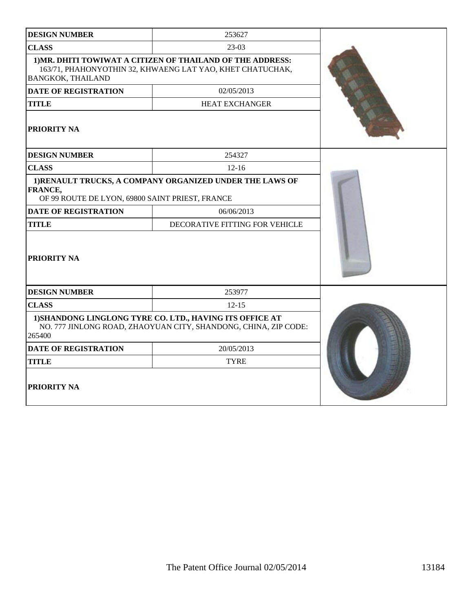| <b>DESIGN NUMBER</b>                                                                                                                  | 253627                                                                                                                  |  |
|---------------------------------------------------------------------------------------------------------------------------------------|-------------------------------------------------------------------------------------------------------------------------|--|
| <b>CLASS</b>                                                                                                                          | $23-03$                                                                                                                 |  |
| <b>BANGKOK, THAILAND</b>                                                                                                              | 1) MR. DHITI TOWIWAT A CITIZEN OF THAILAND OF THE ADDRESS:<br>163/71, PHAHONYOTHIN 32, KHWAENG LAT YAO, KHET CHATUCHAK, |  |
| <b>DATE OF REGISTRATION</b>                                                                                                           | 02/05/2013                                                                                                              |  |
| <b>TITLE</b>                                                                                                                          | <b>HEAT EXCHANGER</b>                                                                                                   |  |
| <b>PRIORITY NA</b>                                                                                                                    |                                                                                                                         |  |
| <b>DESIGN NUMBER</b>                                                                                                                  | 254327                                                                                                                  |  |
| <b>CLASS</b>                                                                                                                          | $12 - 16$                                                                                                               |  |
| <b>FRANCE,</b><br>OF 99 ROUTE DE LYON, 69800 SAINT PRIEST, FRANCE                                                                     | 1) RENAULT TRUCKS, A COMPANY ORGANIZED UNDER THE LAWS OF                                                                |  |
| <b>DATE OF REGISTRATION</b>                                                                                                           | 06/06/2013                                                                                                              |  |
| <b>TITLE</b>                                                                                                                          | DECORATIVE FITTING FOR VEHICLE                                                                                          |  |
| PRIORITY NA                                                                                                                           |                                                                                                                         |  |
| <b>DESIGN NUMBER</b>                                                                                                                  | 253977                                                                                                                  |  |
| <b>CLASS</b>                                                                                                                          | $12 - 15$                                                                                                               |  |
| 1) SHANDONG LINGLONG TYRE CO. LTD., HAVING ITS OFFICE AT<br>NO. 777 JINLONG ROAD, ZHAOYUAN CITY, SHANDONG, CHINA, ZIP CODE:<br>265400 |                                                                                                                         |  |
| <b>DATE OF REGISTRATION</b>                                                                                                           | 20/05/2013                                                                                                              |  |
| <b>TITLE</b>                                                                                                                          | <b>TYRE</b>                                                                                                             |  |
| <b>PRIORITY NA</b>                                                                                                                    |                                                                                                                         |  |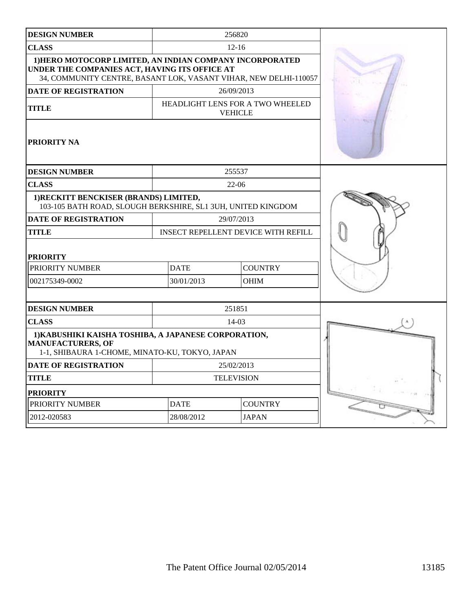| <b>DESIGN NUMBER</b>                                                                                                                                                          |                                                    | 256820            |  |
|-------------------------------------------------------------------------------------------------------------------------------------------------------------------------------|----------------------------------------------------|-------------------|--|
| <b>CLASS</b>                                                                                                                                                                  |                                                    | $12 - 16$         |  |
| 1) HERO MOTOCORP LIMITED, AN INDIAN COMPANY INCORPORATED<br>UNDER THE COMPANIES ACT, HAVING ITS OFFICE AT<br>34, COMMUNITY CENTRE, BASANT LOK, VASANT VIHAR, NEW DELHI-110057 |                                                    |                   |  |
| <b>DATE OF REGISTRATION</b>                                                                                                                                                   |                                                    | 26/09/2013        |  |
| <b>TITLE</b>                                                                                                                                                                  | HEADLIGHT LENS FOR A TWO WHEELED<br><b>VEHICLE</b> |                   |  |
| <b>PRIORITY NA</b>                                                                                                                                                            |                                                    |                   |  |
| <b>DESIGN NUMBER</b>                                                                                                                                                          |                                                    | 255537            |  |
| <b>CLASS</b>                                                                                                                                                                  |                                                    | 22-06             |  |
| 1) RECKITT BENCKISER (BRANDS) LIMITED,<br>103-105 BATH ROAD, SLOUGH BERKSHIRE, SL1 3UH, UNITED KINGDOM                                                                        |                                                    |                   |  |
| <b>DATE OF REGISTRATION</b>                                                                                                                                                   |                                                    | 29/07/2013        |  |
| <b>TITLE</b>                                                                                                                                                                  | <b>INSECT REPELLENT DEVICE WITH REFILL</b>         |                   |  |
| <b>PRIORITY</b>                                                                                                                                                               |                                                    |                   |  |
| PRIORITY NUMBER                                                                                                                                                               | <b>DATE</b><br><b>COUNTRY</b>                      |                   |  |
| 002175349-0002                                                                                                                                                                | 30/01/2013                                         | <b>OHIM</b>       |  |
|                                                                                                                                                                               |                                                    |                   |  |
| <b>DESIGN NUMBER</b>                                                                                                                                                          |                                                    | 251851            |  |
| <b>CLASS</b>                                                                                                                                                                  |                                                    | 14-03             |  |
| 1) KABUSHIKI KAISHA TOSHIBA, A JAPANESE CORPORATION,<br><b>MANUFACTURERS, OF</b><br>1-1, SHIBAURA 1-CHOME, MINATO-KU, TOKYO, JAPAN                                            |                                                    |                   |  |
| <b>DATE OF REGISTRATION</b>                                                                                                                                                   |                                                    | 25/02/2013        |  |
| <b>TITLE</b>                                                                                                                                                                  |                                                    | <b>TELEVISION</b> |  |
| <b>PRIORITY</b>                                                                                                                                                               |                                                    |                   |  |
| PRIORITY NUMBER                                                                                                                                                               | <b>COUNTRY</b><br><b>DATE</b>                      |                   |  |
| 2012-020583                                                                                                                                                                   | <b>JAPAN</b><br>28/08/2012                         |                   |  |
|                                                                                                                                                                               |                                                    |                   |  |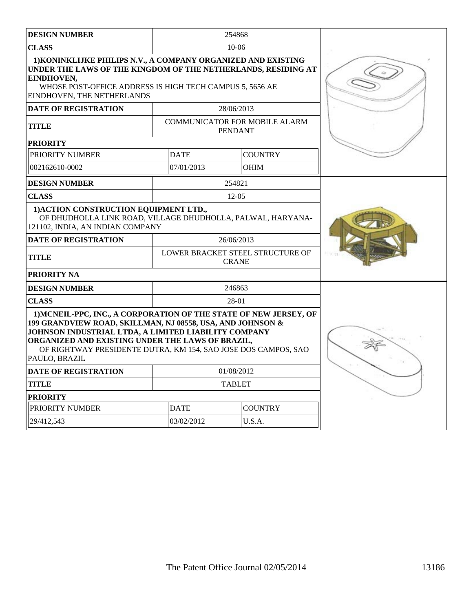| <b>DESIGN NUMBER</b>                                                                                                                                                                                                                                                                                                           |                                                  | 254868                                          |  |
|--------------------------------------------------------------------------------------------------------------------------------------------------------------------------------------------------------------------------------------------------------------------------------------------------------------------------------|--------------------------------------------------|-------------------------------------------------|--|
| <b>CLASS</b>                                                                                                                                                                                                                                                                                                                   |                                                  | $10 - 06$                                       |  |
| 1) KONINKLIJKE PHILIPS N.V., A COMPANY ORGANIZED AND EXISTING<br>UNDER THE LAWS OF THE KINGDOM OF THE NETHERLANDS, RESIDING AT<br>EINDHOVEN,<br>WHOSE POST-OFFICE ADDRESS IS HIGH TECH CAMPUS 5, 5656 AE<br>EINDHOVEN, THE NETHERLANDS                                                                                         |                                                  |                                                 |  |
| <b>DATE OF REGISTRATION</b>                                                                                                                                                                                                                                                                                                    |                                                  | 28/06/2013                                      |  |
| <b>TITLE</b>                                                                                                                                                                                                                                                                                                                   |                                                  | COMMUNICATOR FOR MOBILE ALARM<br><b>PENDANT</b> |  |
| <b>PRIORITY</b>                                                                                                                                                                                                                                                                                                                |                                                  |                                                 |  |
| PRIORITY NUMBER                                                                                                                                                                                                                                                                                                                | <b>DATE</b>                                      | <b>COUNTRY</b>                                  |  |
| 002162610-0002                                                                                                                                                                                                                                                                                                                 | 07/01/2013                                       | <b>OHIM</b>                                     |  |
| <b>DESIGN NUMBER</b>                                                                                                                                                                                                                                                                                                           |                                                  | 254821                                          |  |
| <b>CLASS</b>                                                                                                                                                                                                                                                                                                                   |                                                  | $12 - 05$                                       |  |
| 1) ACTION CONSTRUCTION EQUIPMENT LTD.,<br>OF DHUDHOLLA LINK ROAD, VILLAGE DHUDHOLLA, PALWAL, HARYANA-<br>121102, INDIA, AN INDIAN COMPANY                                                                                                                                                                                      |                                                  |                                                 |  |
| <b>DATE OF REGISTRATION</b>                                                                                                                                                                                                                                                                                                    |                                                  | 26/06/2013                                      |  |
| <b>TITLE</b>                                                                                                                                                                                                                                                                                                                   | LOWER BRACKET STEEL STRUCTURE OF<br><b>CRANE</b> |                                                 |  |
| PRIORITY NA                                                                                                                                                                                                                                                                                                                    |                                                  |                                                 |  |
| <b>DESIGN NUMBER</b>                                                                                                                                                                                                                                                                                                           |                                                  | 246863                                          |  |
| <b>CLASS</b>                                                                                                                                                                                                                                                                                                                   |                                                  | 28-01                                           |  |
| 1) MCNEIL-PPC, INC., A CORPORATION OF THE STATE OF NEW JERSEY, OF<br>199 GRANDVIEW ROAD, SKILLMAN, NJ 08558, USA, AND JOHNSON &<br>JOHNSON INDUSTRIAL LTDA, A LIMITED LIABILITY COMPANY<br>ORGANIZED AND EXISTING UNDER THE LAWS OF BRAZIL,<br>OF RIGHTWAY PRESIDENTE DUTRA, KM 154, SAO JOSE DOS CAMPOS, SAO<br>PAULO, BRAZIL |                                                  |                                                 |  |
| DATE OF REGISTRATION                                                                                                                                                                                                                                                                                                           |                                                  | 01/08/2012                                      |  |
| <b>TITLE</b>                                                                                                                                                                                                                                                                                                                   |                                                  | <b>TABLET</b>                                   |  |
| <b>PRIORITY</b>                                                                                                                                                                                                                                                                                                                |                                                  |                                                 |  |
| PRIORITY NUMBER                                                                                                                                                                                                                                                                                                                | <b>DATE</b><br><b>COUNTRY</b>                    |                                                 |  |
| 29/412,543                                                                                                                                                                                                                                                                                                                     | 03/02/2012                                       | U.S.A.                                          |  |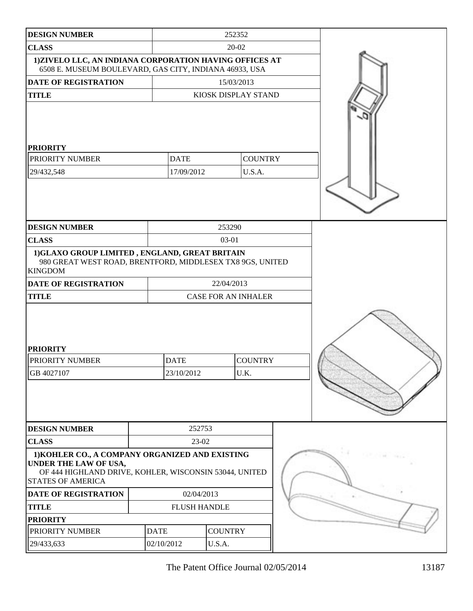| <b>DESIGN NUMBER</b>                                                                                                                                           | 252352      |                            |            |                        |  |       |
|----------------------------------------------------------------------------------------------------------------------------------------------------------------|-------------|----------------------------|------------|------------------------|--|-------|
| <b>CLASS</b>                                                                                                                                                   | 20-02       |                            |            |                        |  |       |
| 1) ZIVELO LLC, AN INDIANA CORPORATION HAVING OFFICES AT<br>6508 E. MUSEUM BOULEVARD, GAS CITY, INDIANA 46933, USA                                              |             |                            |            |                        |  |       |
| <b>DATE OF REGISTRATION</b>                                                                                                                                    |             | 15/03/2013                 |            |                        |  |       |
| <b>TITLE</b>                                                                                                                                                   |             |                            |            | KIOSK DISPLAY STAND    |  |       |
| <b>PRIORITY</b><br>PRIORITY NUMBER                                                                                                                             |             | <b>DATE</b>                |            | <b>COUNTRY</b>         |  |       |
| 29/432,548                                                                                                                                                     |             | 17/09/2012                 |            | U.S.A.                 |  |       |
|                                                                                                                                                                |             |                            |            |                        |  |       |
| <b>DESIGN NUMBER</b>                                                                                                                                           |             |                            | 253290     |                        |  |       |
| <b>CLASS</b>                                                                                                                                                   |             |                            | 03-01      |                        |  |       |
| 1)GLAXO GROUP LIMITED, ENGLAND, GREAT BRITAIN<br>980 GREAT WEST ROAD, BRENTFORD, MIDDLESEX TX8 9GS, UNITED<br><b>KINGDOM</b>                                   |             |                            |            |                        |  |       |
| <b>DATE OF REGISTRATION</b>                                                                                                                                    |             |                            | 22/04/2013 |                        |  |       |
| <b>TITLE</b>                                                                                                                                                   |             | <b>CASE FOR AN INHALER</b> |            |                        |  |       |
| <b>PRIORITY</b><br>PRIORITY NUMBER<br>GB 4027107                                                                                                               |             | <b>DATE</b><br>23/10/2012  |            | <b>COUNTRY</b><br>U.K. |  |       |
| <b>DESIGN NUMBER</b>                                                                                                                                           |             | 252753                     |            |                        |  |       |
| <b>CLASS</b>                                                                                                                                                   | 23-02       |                            |            |                        |  |       |
| 1) KOHLER CO., A COMPANY ORGANIZED AND EXISTING<br>UNDER THE LAW OF USA,<br>OF 444 HIGHLAND DRIVE, KOHLER, WISCONSIN 53044, UNITED<br><b>STATES OF AMERICA</b> |             |                            |            |                        |  | 11.14 |
| DATE OF REGISTRATION                                                                                                                                           |             | 02/04/2013                 |            |                        |  |       |
| <b>TITLE</b>                                                                                                                                                   |             | <b>FLUSH HANDLE</b>        |            |                        |  |       |
| <b>PRIORITY</b>                                                                                                                                                |             |                            |            |                        |  |       |
| PRIORITY NUMBER                                                                                                                                                | <b>DATE</b> | <b>COUNTRY</b>             |            |                        |  |       |
| 29/433,633                                                                                                                                                     |             | 02/10/2012<br>U.S.A.       |            |                        |  |       |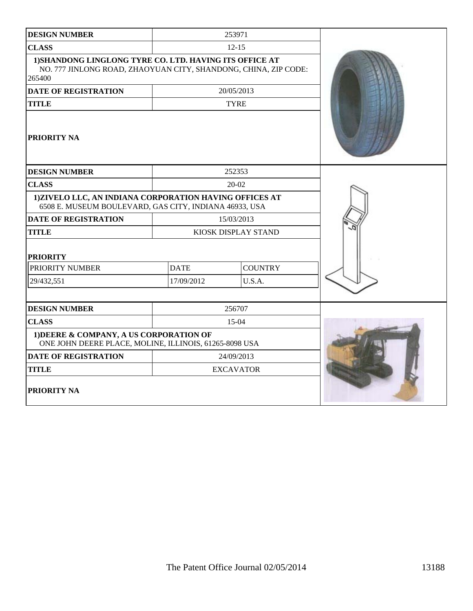| <b>DESIGN NUMBER</b>                                                                                                                 |                               | 253971      |  |
|--------------------------------------------------------------------------------------------------------------------------------------|-------------------------------|-------------|--|
| <b>CLASS</b>                                                                                                                         |                               | $12 - 15$   |  |
| 1) SHANDONG LINGLONG TYRE CO. LTD. HAVING ITS OFFICE AT<br>NO. 777 JINLONG ROAD, ZHAOYUAN CITY, SHANDONG, CHINA, ZIP CODE:<br>265400 |                               |             |  |
| <b>DATE OF REGISTRATION</b>                                                                                                          |                               | 20/05/2013  |  |
| <b>TITLE</b>                                                                                                                         |                               | <b>TYRE</b> |  |
| <b>PRIORITY NA</b>                                                                                                                   |                               |             |  |
| <b>DESIGN NUMBER</b>                                                                                                                 |                               | 252353      |  |
| <b>CLASS</b>                                                                                                                         |                               | 20-02       |  |
| 1) ZIVELO LLC, AN INDIANA CORPORATION HAVING OFFICES AT<br>6508 E. MUSEUM BOULEVARD, GAS CITY, INDIANA 46933, USA                    |                               |             |  |
| <b>DATE OF REGISTRATION</b>                                                                                                          |                               | 15/03/2013  |  |
| <b>TITLE</b>                                                                                                                         | KIOSK DISPLAY STAND           |             |  |
| <b>PRIORITY</b>                                                                                                                      |                               |             |  |
| PRIORITY NUMBER                                                                                                                      | <b>DATE</b><br><b>COUNTRY</b> |             |  |
| 29/432,551                                                                                                                           | 17/09/2012                    | U.S.A.      |  |
| <b>DESIGN NUMBER</b>                                                                                                                 |                               | 256707      |  |
| <b>CLASS</b>                                                                                                                         |                               | $15-04$     |  |
| 1) DEERE & COMPANY, A US CORPORATION OF<br>ONE JOHN DEERE PLACE, MOLINE, ILLINOIS, 61265-8098 USA                                    |                               |             |  |
| <b>DATE OF REGISTRATION</b>                                                                                                          |                               | 24/09/2013  |  |
| <b>TITLE</b>                                                                                                                         | <b>EXCAVATOR</b>              |             |  |
| <b>PRIORITY NA</b>                                                                                                                   |                               |             |  |